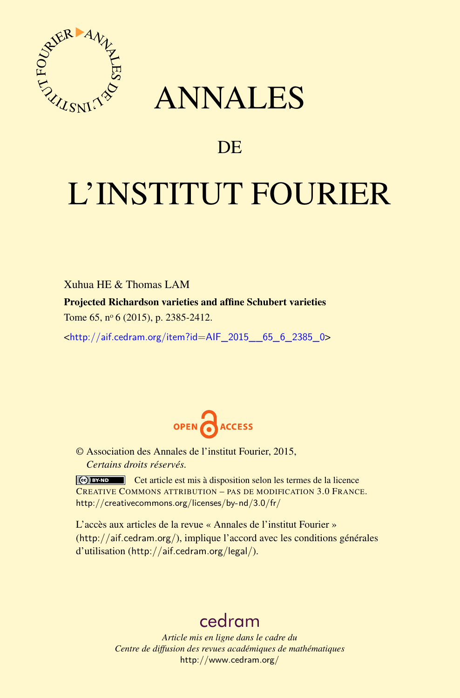

## ANNALES

### **DE**

# L'INSTITUT FOURIER

Xuhua HE & Thomas LAM Projected Richardson varieties and affine Schubert varieties Tome 65, nº 6 (2015), p. 2385-2412.

 $\kappa$ http://aif.cedram.org/item?id=AIF 2015 65 6 2385 0>



© Association des Annales de l'institut Fourier, 2015, *Certains droits réservés.*

Cet article est mis à disposition selon les termes de la licence CREATIVE COMMONS ATTRIBUTION – PAS DE MODIFICATION 3.0 FRANCE. <http://creativecommons.org/licenses/by-nd/3.0/fr/>

L'accès aux articles de la revue « Annales de l'institut Fourier » (<http://aif.cedram.org/>), implique l'accord avec les conditions générales d'utilisation (<http://aif.cedram.org/legal/>).

## [cedram](http://www.cedram.org/)

*Article mis en ligne dans le cadre du Centre de diffusion des revues académiques de mathématiques* <http://www.cedram.org/>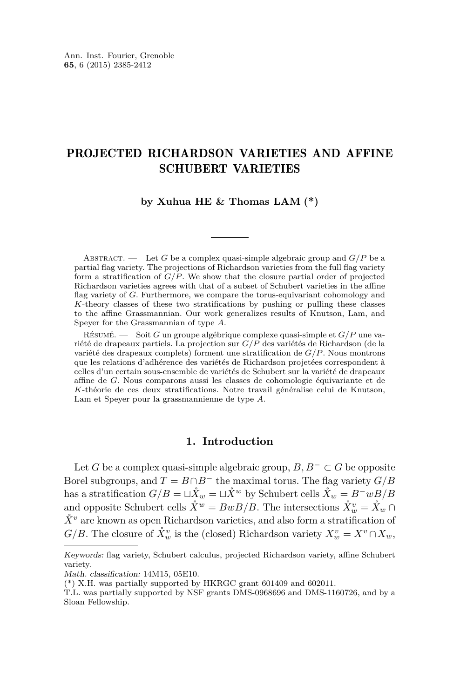#### PROJECTED RICHARDSON VARIETIES AND AFFINE SCHUBERT VARIETIES

**by Xuhua HE & Thomas LAM (\*)**

ABSTRACT. — Let G be a complex quasi-simple algebraic group and  $G/P$  be a partial flag variety. The projections of Richardson varieties from the full flag variety form a stratification of *G/P*. We show that the closure partial order of projected Richardson varieties agrees with that of a subset of Schubert varieties in the affine flag variety of *G*. Furthermore, we compare the torus-equivariant cohomology and *K*-theory classes of these two stratifications by pushing or pulling these classes to the affine Grassmannian. Our work generalizes results of Knutson, Lam, and Speyer for the Grassmannian of type *A*.

Résumé. — Soit *G* un groupe algébrique complexe quasi-simple et *G/P* une variété de drapeaux partiels. La projection sur *G/P* des variétés de Richardson (de la variété des drapeaux complets) forment une stratification de *G/P*. Nous montrons que les relations d'adhérence des variétés de Richardson projetées correspondent à celles d'un certain sous-ensemble de variétés de Schubert sur la variété de drapeaux affine de *G*. Nous comparons aussi les classes de cohomologie équivariante et de *K*-théorie de ces deux stratifications. Notre travail généralise celui de Knutson, Lam et Speyer pour la grassmannienne de type *A*.

#### **1. Introduction**

Let *G* be a complex quasi-simple algebraic group,  $B, B<sup>-</sup> \subset G$  be opposite Borel subgroups, and  $T = B \cap B^-$  the maximal torus. The flag variety  $G/B$ has a stratification  $G/B = \Box \mathring{X}_w = \Box \mathring{X}^w$  by Schubert cells  $\mathring{X}_w = B^-wB/B$ and opposite Schubert cells  $\mathring{X}^w = BwB/B$ . The intersections  $\mathring{X}^v_w = \mathring{X}_w \cap$  $\mathring{X}^v$  are known as open Richardson varieties, and also form a stratification of *G/B*. The closure of  $\mathring{X}^v_w$  is the (closed) Richardson variety  $X^v_w = X^v \cap X_w$ ,

Keywords: flag variety, Schubert calculus, projected Richardson variety, affine Schubert variety.

Math. classification: 14M15, 05E10.

<sup>(\*)</sup> X.H. was partially supported by HKRGC grant 601409 and 602011.

T.L. was partially supported by NSF grants DMS-0968696 and DMS-1160726, and by a Sloan Fellowship.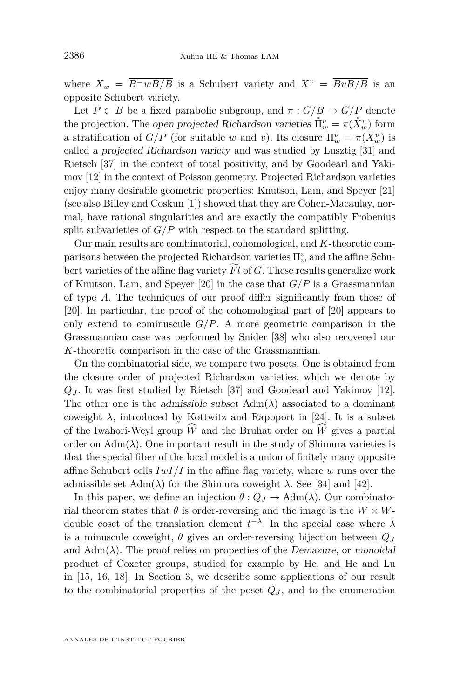where  $X_w = \overline{B^{-w}B/B}$  is a Schubert variety and  $X^v = \overline{BvB/B}$  is an opposite Schubert variety.

Let  $P \subset B$  be a fixed parabolic subgroup, and  $\pi : G/B \to G/P$  denote the projection. The open projected Richardson varieties  $\mathring{\Pi}_{w}^{v} = \pi(\mathring{X}_{w}^{v})$  form a stratification of  $G/P$  (for suitable *w* and *v*). Its closure  $\Pi_w^v = \pi(X_w^v)$  is called a projected Richardson variety and was studied by Lusztig [\[31\]](#page-27-0) and Rietsch [\[37\]](#page-28-0) in the context of total positivity, and by Goodearl and Yakimov [\[12\]](#page-27-0) in the context of Poisson geometry. Projected Richardson varieties enjoy many desirable geometric properties: Knutson, Lam, and Speyer [\[21\]](#page-27-0) (see also Billey and Coskun [\[1\]](#page-26-0)) showed that they are Cohen-Macaulay, normal, have rational singularities and are exactly the compatibly Frobenius split subvarieties of  $G/P$  with respect to the standard splitting.

Our main results are combinatorial, cohomological, and *K*-theoretic comparisons between the projected Richardson varieties Π*<sup>v</sup> <sup>w</sup>* and the affine Schubert varieties of the affine flag variety  $\overline{Fl}$  of  $G$ . These results generalize work of Knutson, Lam, and Speyer [\[20\]](#page-27-0) in the case that *G/P* is a Grassmannian of type *A*. The techniques of our proof differ significantly from those of [\[20\]](#page-27-0). In particular, the proof of the cohomological part of [\[20\]](#page-27-0) appears to only extend to cominuscule  $G/P$ . A more geometric comparison in the Grassmannian case was performed by Snider [\[38\]](#page-28-0) who also recovered our *K*-theoretic comparison in the case of the Grassmannian.

On the combinatorial side, we compare two posets. One is obtained from the closure order of projected Richardson varieties, which we denote by *Q<sup>J</sup>* . It was first studied by Rietsch [\[37\]](#page-28-0) and Goodearl and Yakimov [\[12\]](#page-27-0). The other one is the admissible subset  $Adm(\lambda)$  associated to a dominant coweight  $\lambda$ , introduced by Kottwitz and Rapoport in [\[24\]](#page-27-0). It is a subset of the Iwahori-Weyl group  $\hat{W}$  and the Bruhat order on  $\hat{W}$  gives a partial order on  $\text{Adm}(\lambda)$ . One important result in the study of Shimura varieties is that the special fiber of the local model is a union of finitely many opposite affine Schubert cells *IwI/I* in the affine flag variety, where *w* runs over the admissible set  $\text{Adm}(\lambda)$  for the Shimura coweight  $\lambda$ . See [\[34\]](#page-27-0) and [\[42\]](#page-28-0).

In this paper, we define an injection  $\theta$  :  $Q_J \to \text{Adm}(\lambda)$ . Our combinatorial theorem states that  $\theta$  is order-reversing and the image is the  $W \times W$ double coset of the translation element  $t^{-\lambda}$ . In the special case where  $\lambda$ is a minuscule coweight,  $\theta$  gives an order-reversing bijection between  $Q_J$ and  $\text{Adm}(\lambda)$ . The proof relies on properties of the *Demazure*, or monoidal product of Coxeter groups, studied for example by He, and He and Lu in [\[15,](#page-27-0) [16,](#page-27-0) [18\]](#page-27-0). In Section [3,](#page-7-0) we describe some applications of our result to the combinatorial properties of the poset  $Q_J$ , and to the enumeration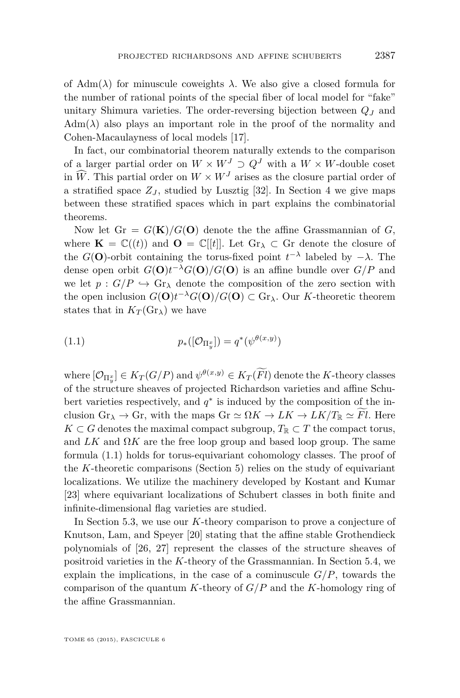of  $\text{Adm}(\lambda)$  for minuscule coweights  $\lambda$ . We also give a closed formula for the number of rational points of the special fiber of local model for "fake" unitary Shimura varieties. The order-reversing bijection between *Q<sup>J</sup>* and  $\text{Adm}(\lambda)$  also plays an important role in the proof of the normality and Cohen-Macaulayness of local models [\[17\]](#page-27-0).

In fact, our combinatorial theorem naturally extends to the comparison of a larger partial order on  $W \times W^J \supset Q^J$  with a  $W \times W$ -double coset in  $\widehat{W}$ . This partial order on  $W \times W<sup>J</sup>$  arises as the closure partial order of a stratified space  $Z_J$ , studied by Lusztig [\[32\]](#page-27-0). In Section [4](#page-11-0) we give maps between these stratified spaces which in part explains the combinatorial theorems.

Now let  $Gr = G(K)/G(O)$  denote the the affine Grassmannian of G, where  $\mathbf{K} = \mathbb{C}((t))$  and  $\mathbf{O} = \mathbb{C}[[t]]$ . Let  $\mathrm{Gr}_{\lambda} \subset \mathrm{Gr}$  denote the closure of the *G*(**O**)-orbit containing the torus-fixed point  $t^{-\lambda}$  labeled by  $-\lambda$ . The dense open orbit  $G(\mathbf{O})t^{-\lambda}G(\mathbf{O})/G(\mathbf{O})$  is an affine bundle over  $G/P$  and we let  $p: G/P \hookrightarrow \text{Gr}_{\lambda}$  denote the composition of the zero section with the open inclusion  $G(\mathbf{O})t^{-\lambda}G(\mathbf{O})/G(\mathbf{O}) \subset \text{Gr}_{\lambda}$ . Our *K*-theoretic theorem states that in  $K_T(\text{Gr}_\lambda)$  we have

$$
(1.1) \t\t p_*([\mathcal{O}_{\Pi_y^x}]) = q^*(\psi^{\theta(x,y)})
$$

where  $[\mathcal{O}_{\Pi_y^x}] \in K_T(G/P)$  and  $\psi^{\theta(x,y)} \in K_T(Fl)$  denote the *K*-theory classes of the structure sheaves of projected Richardson varieties and affine Schubert varieties respectively, and  $q^*$  is induced by the composition of the inclusion  $Gr_{\lambda} \to Gr$ , with the maps  $Gr \simeq \Omega K \to LK \to LK/T_{\mathbb{R}} \simeq Fl$ . Here *K* ⊂ *G* denotes the maximal compact subgroup,  $T_R$  ⊂ *T* the compact torus, and  $LK$  and  $\Omega K$  are the free loop group and based loop group. The same formula (1.1) holds for torus-equivariant cohomology classes. The proof of the *K*-theoretic comparisons (Section [5\)](#page-14-0) relies on the study of equivariant localizations. We utilize the machinery developed by Kostant and Kumar [\[23\]](#page-27-0) where equivariant localizations of Schubert classes in both finite and infinite-dimensional flag varieties are studied.

In Section [5.3,](#page-22-0) we use our *K*-theory comparison to prove a conjecture of Knutson, Lam, and Speyer [\[20\]](#page-27-0) stating that the affine stable Grothendieck polynomials of [\[26,](#page-27-0) [27\]](#page-27-0) represent the classes of the structure sheaves of positroid varieties in the *K*-theory of the Grassmannian. In Section [5.4,](#page-23-0) we explain the implications, in the case of a cominuscule  $G/P$ , towards the comparison of the quantum *K*-theory of *G/P* and the *K*-homology ring of the affine Grassmannian.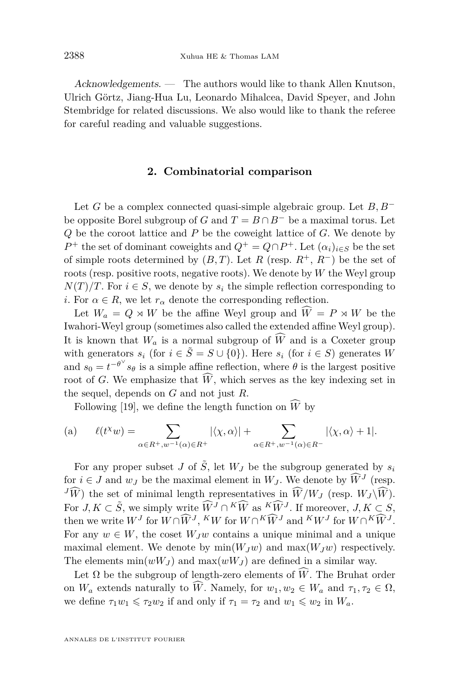<span id="page-4-0"></span>Acknowledgements. — The authors would like to thank Allen Knutson, Ulrich Görtz, Jiang-Hua Lu, Leonardo Mihalcea, David Speyer, and John Stembridge for related discussions. We also would like to thank the referee for careful reading and valuable suggestions.

#### **2. Combinatorial comparison**

Let *G* be a complex connected quasi-simple algebraic group. Let *B, B*<sup>−</sup> be opposite Borel subgroup of *G* and  $T = B \cap B^-$  be a maximal torus. Let *Q* be the coroot lattice and *P* be the coweight lattice of *G*. We denote by *P*<sup>+</sup> the set of dominant coweights and  $Q$ <sup>+</sup> =  $Q \cap P$ <sup>+</sup>. Let  $(\alpha_i)_{i \in S}$  be the set of simple roots determined by  $(B, T)$ . Let  $R$  (resp.  $R^+$ ,  $R^-$ ) be the set of roots (resp. positive roots, negative roots). We denote by *W* the Weyl group  $N(T)/T$ . For  $i \in S$ , we denote by  $s_i$  the simple reflection corresponding to *i*. For  $\alpha \in R$ , we let  $r_{\alpha}$  denote the corresponding reflection.

Let  $W_a = Q \rtimes W$  be the affine Weyl group and  $\hat{W} = P \rtimes W$  be the Iwahori-Weyl group (sometimes also called the extended affine Weyl group). It is known that  $W_a$  is a normal subgroup of  $\widehat{W}$  and is a Coxeter group with generators  $s_i$  (for  $i \in \tilde{S} = S \cup \{0\}$ ). Here  $s_i$  (for  $i \in S$ ) generates *W* and  $s_0 = t^{-\theta^\vee} s_\theta$  is a simple affine reflection, where  $\theta$  is the largest positive root of *G*. We emphasize that  $\hat{W}$ , which serves as the key indexing set in the sequel, depends on *G* and not just *R*.

Following [\[19\]](#page-27-0), we define the length function on  $\widehat{W}$  by

(a) 
$$
\ell(t^{\chi}w) = \sum_{\alpha \in R^{+}, w^{-1}(\alpha) \in R^{+}} |\langle \chi, \alpha \rangle| + \sum_{\alpha \in R^{+}, w^{-1}(\alpha) \in R^{-}} |\langle \chi, \alpha \rangle + 1|.
$$

For any proper subset *J* of  $\tilde{S}$ , let  $W_J$  be the subgroup generated by  $s_i$ for  $i \in J$  and  $w_J$  be the maximal element in  $W_J$ . We denote by  $\widetilde{W}^J$  (resp.  $J\widehat{W}$  the set of minimal length representatives in  $\widehat{W}/W_J$  (resp.  $W_J \backslash \widehat{W}$ ). For  $J, K \subset \tilde{S}$ , we simply write  $\widehat{W}^J \cap {}^K \widehat{W}$  as  ${}^K \widehat{W}^J$ . If moreover,  $J, K \subset S$ , then we write  $W^J$  for  $W \cap \widehat{W}^J$ ,  $^KW$  for  $W \cap {}^K \widehat{W}^J$  and  $K^JW$  for  $W \cap {}^K \widehat{W}^J$ . For any  $w \in W$ , the coset  $W_Jw$  contains a unique minimal and a unique maximal element. We denote by  $min(W_Jw)$  and  $max(W_Jw)$  respectively. The elements  $\min(wW_J)$  and  $\max(wW_J)$  are defined in a similar way.

Let  $\Omega$  be the subgroup of length-zero elements of  $\hat{W}$ . The Bruhat order on  $W_a$  extends naturally to  $\widehat{W}$ . Namely, for  $w_1, w_2 \in W_a$  and  $\tau_1, \tau_2 \in \Omega$ , we define  $\tau_1 w_1 \leqslant \tau_2 w_2$  if and only if  $\tau_1 = \tau_2$  and  $w_1 \leqslant w_2$  in  $W_a$ .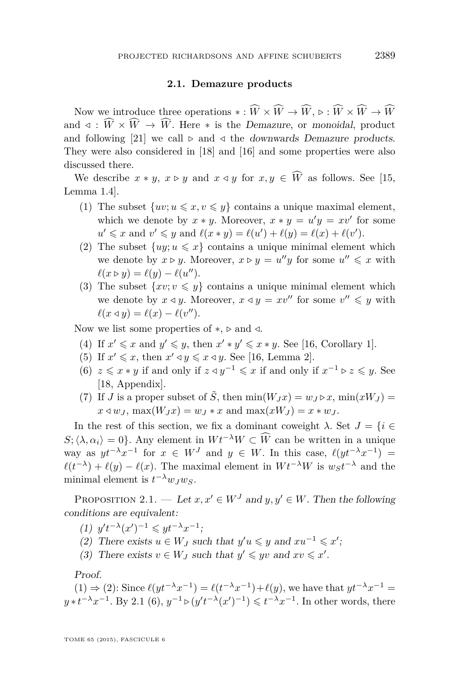#### **2.1. Demazure products**

<span id="page-5-0"></span>Now we introduce three operations  $* : \widehat{W} \times \widehat{W} \to \widehat{W}, \, \triangleright : \widehat{W} \times \widehat{W} \to \widehat{W}$ and  $\triangleleft$ :  $\widehat{W} \times \widehat{W} \to \widehat{W}$ . Here  $*$  is the *Demazure*, or monoidal, product and following [\[21\]](#page-27-0) we call  $\triangleright$  and  $\triangleleft$  the downwards Demazure products. They were also considered in [\[18\]](#page-27-0) and [\[16\]](#page-27-0) and some properties were also discussed there.

We describe  $x * y$ ,  $x \triangleright y$  and  $x \triangleleft y$  for  $x, y \in \widehat{W}$  as follows. See [\[15,](#page-27-0) Lemma 1.4].

- (1) The subset  $\{uv; u \leq x, v \leq y\}$  contains a unique maximal element, which we denote by  $x * y$ . Moreover,  $x * y = u'y = xv'$  for some  $u' \leq x$  and  $v' \leq y$  and  $\ell(x * y) = \ell(u') + \ell(y) = \ell(x) + \ell(v')$ .
- (2) The subset  $\{uy; u \leq x\}$  contains a unique minimal element which we denote by  $x \triangleright y$ . Moreover,  $x \triangleright y = u''y$  for some  $u'' \leq x$  with  $\ell(x \triangleright y) = \ell(y) - \ell(u'').$
- (3) The subset  $\{xv; v \leq y\}$  contains a unique minimal element which we denote by  $x \triangleleft y$ . Moreover,  $x \triangleleft y = xv''$  for some  $v'' \leq y$  with  $\ell(x \triangleleft y) = \ell(x) - \ell(v'').$

Now we list some properties of ∗, *.* and */*.

- (4) If  $x' \leq x$  and  $y' \leq y$ , then  $x' * y' \leq x * y$ . See [\[16,](#page-27-0) Corollary 1].
- (5) If  $x' \leq x$ , then  $x' \triangleleft y \leq x \triangleleft y$ . See [\[16,](#page-27-0) Lemma 2].
- (6)  $z \leq x * y$  if and only if  $z \triangleleft y^{-1} \leq x$  if and only if  $x^{-1} \triangleright z \leq y$ . See [\[18,](#page-27-0) Appendix].
- (7) If *J* is a proper subset of  $\tilde{S}$ , then  $\min(W_J x) = w_J \triangleright x$ ,  $\min(xW_J) =$  $x \triangleleft w_j$ ,  $\max(W_j x) = w_j * x$  and  $\max(xW_j) = x * w_j$ .

In the rest of this section, we fix a dominant coweight  $\lambda$ . Set  $J = \{i \in$ *S*;  $\langle \lambda, \alpha_i \rangle = 0$ . Any element in  $W t^{-\lambda} W \subset \widehat{W}$  can be written in a unique way as  $yt^{-\lambda}x^{-1}$  for  $x \in W^J$  and  $y \in W$ . In this case,  $\ell(yt^{-\lambda}x^{-1})$  =  $\ell(t^{-\lambda}) + \ell(y) - \ell(x)$ . The maximal element in  $W t^{-\lambda} W$  is  $w_S t^{-\lambda}$  and the minimal element is  $t^{-\lambda} w_J w_S$ .

PROPOSITION 2.1. — Let  $x, x' \in W^J$  and  $y, y' \in W$ . Then the following conditions are equivalent:

- $(1)$   $y't^{-\lambda}(x')^{-1} \leqslant yt^{-\lambda}x^{-1};$
- (2) There exists  $u \in W_J$  such that  $y'u \leq y$  and  $xu^{-1} \leq x'$ ;
- (3) There exists  $v \in W_J$  such that  $y' \leq yv$  and  $xv \leq x'$ .

Proof.

(1) ⇒ (2): Since  $\ell(yt^{-\lambda}x^{-1}) = \ell(t^{-\lambda}x^{-1}) + \ell(y)$ , we have that  $yt^{-\lambda}x^{-1} =$  $y * t^{-\lambda} x^{-1}$ . By 2.1 (6),  $y^{-1} \triangleright (y' t^{-\lambda} (x')^{-1}) \leq t^{-\lambda} x^{-1}$ . In other words, there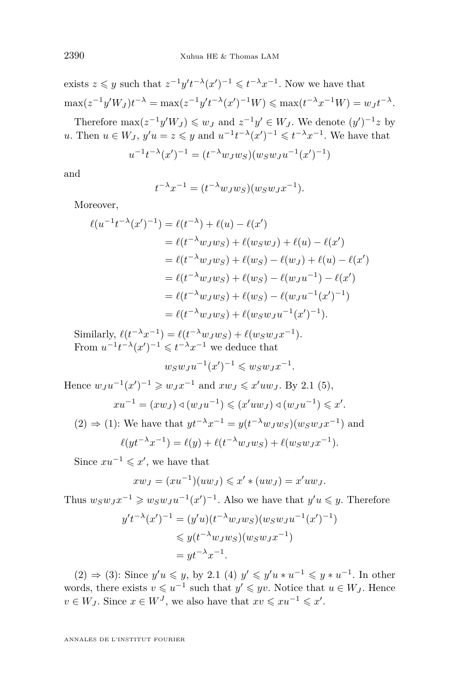exists  $z \leq y$  such that  $z^{-1}y't^{-\lambda}(x')^{-1} \leq t^{-\lambda}x^{-1}$ . Now we have that  $\max(z^{-1}y'W_J)t^{-\lambda} = \max(z^{-1}y't^{-\lambda}(x')^{-1}W) \le \max(t^{-\lambda}x^{-1}W) = w_Jt^{-\lambda}.$ 

Therefore  $\max(z^{-1}y'W_J) \leqslant w_J$  and  $z^{-1}y' \in W_J$ . We denote  $(y')^{-1}z$  by *u*. Then  $u \in W_J$ ,  $y'u = z \leq y$  and  $u^{-1}t^{-\lambda}(x')^{-1} \leq t^{-\lambda}x^{-1}$ . We have that

$$
u^{-1}t^{-\lambda}(x')^{-1} = (t^{-\lambda}w_Jw_S)(w_Sw_Ju^{-1}(x')^{-1})
$$

and

$$
t^{-\lambda}x^{-1} = (t^{-\lambda}w_Jw_S)(w_Sw_Jx^{-1}).
$$

Moreover,

$$
\ell(u^{-1}t^{-\lambda}(x')^{-1}) = \ell(t^{-\lambda}) + \ell(u) - \ell(x')
$$
  
=  $\ell(t^{-\lambda}w_Jw_S) + \ell(w_Sw_J) + \ell(u) - \ell(x')$   
=  $\ell(t^{-\lambda}w_Jw_S) + \ell(w_S) - \ell(w_J) + \ell(u) - \ell(x')$   
=  $\ell(t^{-\lambda}w_Jw_S) + \ell(w_S) - \ell(w_Ju^{-1}) - \ell(x')$   
=  $\ell(t^{-\lambda}w_Jw_S) + \ell(w_S) - \ell(w_Ju^{-1}(x')^{-1})$   
=  $\ell(t^{-\lambda}w_Jw_S) + \ell(w_Sw_Ju^{-1}(x')^{-1}).$ 

Similarly,  $\ell(t^{-\lambda}x^{-1}) = \ell(t^{-\lambda}w_Jw_S) + \ell(w_Sw_Jx^{-1}).$ From  $u^{-1}t^{-\lambda}(x')^{-1} \leqslant t^{-\lambda}x^{-1}$  we deduce that

$$
w_S w_J u^{-1}(x')^{-1} \leqslant w_S w_J x^{-1}.
$$

Hence  $w_J u^{-1}(x')^{-1} \geq v_J x^{-1}$  and  $x w_J \leq x' u w_J$ . By [2.1](#page-5-0) (5),

$$
xu^{-1} = (xwy) \triangleleft (w_J u^{-1}) \leqslant (x' u w_J) \triangleleft (w_J u^{-1}) \leqslant x'.
$$

(2) 
$$
\Rightarrow
$$
 (1): We have that  $yt^{-\lambda}x^{-1} = y(t^{-\lambda}w_Jw_S)(w_Sw_Jx^{-1})$  and  
\n
$$
\ell(yt^{-\lambda}x^{-1}) = \ell(y) + \ell(t^{-\lambda}w_Jw_S) + \ell(w_Sw_Jx^{-1}).
$$

Since  $xu^{-1} \leqslant x'$ , we have that

$$
xw_J = (xu^{-1})(uw_J) \leqslant x' * (uw_J) = x'uw_J.
$$

Thus  $w_S w_J x^{-1} \geqslant w_S w_J u^{-1} (x')^{-1}$ . Also we have that  $y' u \leqslant y$ . Therefore

$$
y't^{-\lambda}(x')^{-1} = (y'u)(t^{-\lambda}w_Jw_S)(w_Sw_Ju^{-1}(x')^{-1})
$$
  
\$\leq y(t^{-\lambda}w\_Jw\_S)(w\_Sw\_Jx^{-1})\$  
=  $yt^{-\lambda}x^{-1}$ .

(2)  $\Rightarrow$  (3): Since *y'u* ≤ *y*, by [2.1](#page-5-0) (4) *y'* ≤ *y'u* \* *u*<sup>-1</sup> ≤ *y* \* *u*<sup>-1</sup>. In other words, there exists  $v \leq u^{-1}$  such that  $y' \leq yv$ . Notice that  $u \in W_J$ . Hence  $v \in W_J$ . Since  $x \in W^J$ , we also have that  $xv \leqslant xu^{-1} \leqslant x'$ .

ANNALES DE L'INSTITUT FOURIER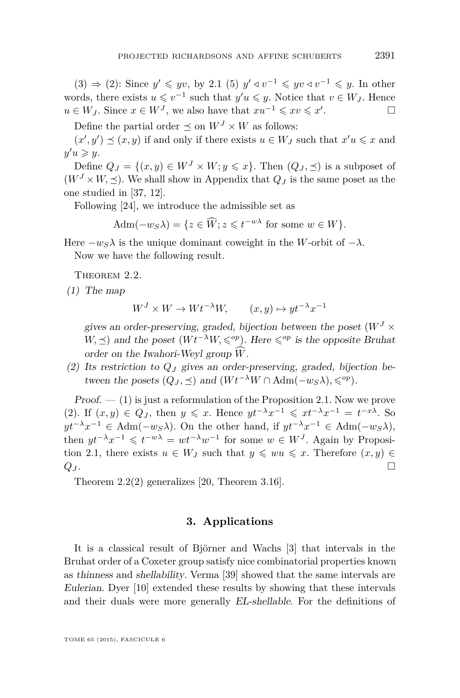<span id="page-7-0"></span>(3)  $\Rightarrow$  (2): Since *y'* ≤ *yv*, by [2.1](#page-5-0) (5) *y'* ∢ *v*<sup>-1</sup> ≤ *yv* ∢ *v*<sup>-1</sup> ≤ *y*. In other words, there exists  $u \leq v^{-1}$  such that  $y'u \leq y$ . Notice that  $v \in W_J$ . Hence *u* ∈ *W*<sub>*J*</sub>. Since  $x \in W^J$ , we also have that  $xu^{-1} \le xv \le x'$ . — Первый проста в сервести проста в сервести проста в сервести проста в сервести проста в сервести проста в<br>В сервести проста в сервести проста в сервести проста в сервести проста в сервести проста в сервести проста в

Define the partial order  $\preceq$  on  $W^J \times W$  as follows:

 $(x', y') \preceq (x, y)$  if and only if there exists  $u \in W_J$  such that  $x'u \leq x$  and  $y'u \geqslant y.$ 

Define  $Q_J = \{(x, y) \in W^J \times W; y \leq x\}$ . Then  $(Q_J, \prec)$  is a subposet of  $(W<sup>J</sup> \times W, \preceq)$ . We shall show in Appendix that  $Q<sub>J</sub>$  is the same poset as the one studied in [\[37,](#page-28-0) [12\]](#page-27-0).

Following [\[24\]](#page-27-0), we introduce the admissible set as

$$
Adm(-w_S\lambda) = \{ z \in \widehat{W}; z \leq t^{-w\lambda} \text{ for some } w \in W \}.
$$

Here  $-w<sub>S</sub>\lambda$  is the unique dominant coweight in the *W*-orbit of  $-\lambda$ . Now we have the following result.

THEOREM 2.2.

(1) The map

$$
W^J \times W \to Wt^{-\lambda}W, \qquad (x, y) \mapsto yt^{-\lambda}x^{-1}
$$

gives an order-preserving, graded, bijection between the poset  $(W<sup>J</sup> \times$ *W*,  $\preceq$ ) and the poset (*Wt*<sup>−*λW*</sup>,  $\leq$ <sup>*op*</sup>). Here  $\leq$ <sup>*op*</sup> is the opposite Bruhat order on the Iwahori-Weyl group  $\hat{W}$ .

(2) Its restriction to *Q<sup>J</sup>* gives an order-preserving, graded, bijection between the posets  $(Q_J, \prec)$  and  $(Wt^{-\lambda}W \cap \text{Adm}(-w_S\lambda), \leq^{\text{op}})$ .

 $Proof. - (1)$  is just a reformulation of the Proposition [2.1.](#page-5-0) Now we prove (2). If  $(x, y) \in Q_J$ , then  $y \leq x$ . Hence  $yt^{-\lambda}x^{-1} \leq xt^{-\lambda}x^{-1} = t^{-x\lambda}$ . So *y*<sup> $t^{-\lambda}$ </sup>*x*<sup>-1</sup> ∈ Adm(−*w<sub>S</sub>* $\lambda$ ). On the other hand, if  $yt^{-\lambda}x^{-1}$  ∈ Adm(−*w<sub>S</sub>* $\lambda$ ), then  $yt^{-\lambda}x^{-1} \leqslant t^{-w\lambda} = wt^{-\lambda}w^{-1}$  for some  $w \in W^J$ . Again by Proposi-tion [2.1,](#page-5-0) there exists  $u \in W_J$  such that  $y \leq wu \leq x$ . Therefore  $(x, y) \in$  $Q_J$ .

Theorem 2.2(2) generalizes [\[20,](#page-27-0) Theorem 3.16].

#### **3. Applications**

It is a classical result of Björner and Wachs [\[3\]](#page-26-0) that intervals in the Bruhat order of a Coxeter group satisfy nice combinatorial properties known as thinness and shellability. Verma [\[39\]](#page-28-0) showed that the same intervals are Eulerian. Dyer [\[10\]](#page-26-0) extended these results by showing that these intervals and their duals were more generally EL-shellable. For the definitions of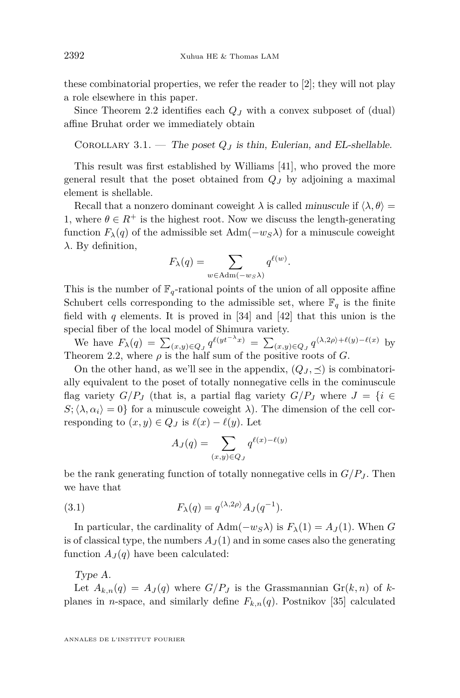<span id="page-8-0"></span>these combinatorial properties, we refer the reader to [\[2\]](#page-26-0); they will not play a role elsewhere in this paper.

Since Theorem [2.2](#page-7-0) identifies each *Q<sup>J</sup>* with a convex subposet of (dual) affine Bruhat order we immediately obtain

COROLLARY 3.1. — The poset  $Q_J$  is thin, Eulerian, and EL-shellable.

This result was first established by Williams [\[41\]](#page-28-0), who proved the more general result that the poset obtained from *Q<sup>J</sup>* by adjoining a maximal element is shellable.

Recall that a nonzero dominant coweight  $\lambda$  is called minuscule if  $\langle \lambda, \theta \rangle =$ 1, where  $\theta \in R^+$  is the highest root. Now we discuss the length-generating function  $F_{\lambda}(q)$  of the admissible set  $Adm(-w_S\lambda)$  for a minuscule coweight *λ*. By definition,

$$
F_{\lambda}(q) = \sum_{w \in \text{Adm}(-w_S \lambda)} q^{\ell(w)}.
$$

This is the number of  $\mathbb{F}_q$ -rational points of the union of all opposite affine Schubert cells corresponding to the admissible set, where  $\mathbb{F}_q$  is the finite field with *q* elements. It is proved in [\[34\]](#page-27-0) and [\[42\]](#page-28-0) that this union is the special fiber of the local model of Shimura variety.

We have  $F_{\lambda}(q) = \sum_{(x,y)\in Q_J} q^{\ell(yt^{-\lambda}x)} = \sum_{(x,y)\in Q_J} q^{\langle \lambda, 2\rho \rangle + \ell(y) - \ell(x)}$  by Theorem [2.2,](#page-7-0) where  $\rho$  is the half sum of the positive roots of *G*.

On the other hand, as we'll see in the appendix,  $(Q_J, \preceq)$  is combinatorially equivalent to the poset of totally nonnegative cells in the cominuscule flag variety  $G/P_J$  (that is, a partial flag variety  $G/P_J$  where  $J = \{i \in$  $S$ ;  $\langle \lambda, \alpha_i \rangle = 0$ } for a minuscule coweight  $\lambda$ ). The dimension of the cell corresponding to  $(x, y) \in Q_J$  is  $\ell(x) - \ell(y)$ . Let

$$
A_J(q)=\sum_{(x,y)\in Q_J}q^{\ell(x)-\ell(y)}
$$

be the rank generating function of totally nonnegative cells in  $G/P_J$ . Then we have that

(3.1) 
$$
F_{\lambda}(q) = q^{\langle \lambda, 2\rho \rangle} A_{J}(q^{-1}).
$$

In particular, the cardinality of  $Adm(-w_S\lambda)$  is  $F_\lambda(1) = A_J(1)$ . When *G* is of classical type, the numbers  $A_J(1)$  and in some cases also the generating function  $A_J(q)$  have been calculated:

Type A.

Let  $A_{k,n}(q) = A_{J}(q)$  where  $G/P_{J}$  is the Grassmannian  $Gr(k, n)$  of kplanes in *n*-space, and similarly define  $F_{k,n}(q)$ . Postnikov [\[35\]](#page-28-0) calculated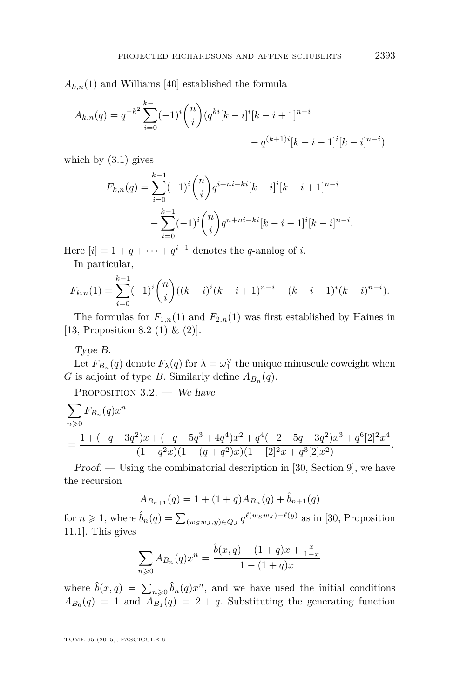<span id="page-9-0"></span> $A_{k,n}(1)$  and Williams [\[40\]](#page-28-0) established the formula

$$
A_{k,n}(q) = q^{-k^2} \sum_{i=0}^{k-1} (-1)^i {n \choose i} (q^{ki}[k-i]^i[k-i+1]^{n-i} - q^{(k+1)i}[k-i-1]^i[k-i]^{n-i})
$$

which by  $(3.1)$  gives

$$
F_{k,n}(q) = \sum_{i=0}^{k-1} (-1)^i \binom{n}{i} q^{i+ni-ki} [k-i]^i [k-i+1]^{n-i}
$$

$$
-\sum_{i=0}^{k-1} (-1)^i \binom{n}{i} q^{n+ni-ki} [k-i-1]^i [k-i]^{n-i}.
$$

Here  $[i] = 1 + q + \cdots + q^{i-1}$  denotes the *q*-analog of *i*.

In particular,

$$
F_{k,n}(1) = \sum_{i=0}^{k-1} (-1)^i \binom{n}{i} ((k-i)^i (k-i+1)^{n-i} - (k-i-1)^i (k-i)^{n-i}).
$$

The formulas for  $F_{1,n}(1)$  and  $F_{2,n}(1)$  was first established by Haines in [\[13,](#page-27-0) Proposition 8.2 (1)  $\&$  (2)].

Type B.

Let  $F_{B_n}(q)$  denote  $F_{\lambda}(q)$  for  $\lambda = \omega_1^{\vee}$  the unique minuscule coweight when *G* is adjoint of type *B*. Similarly define  $A_{B_n}(q)$ .

PROPOSITION 3.2. - We have

$$
\sum_{n\geqslant 0} F_{B_n}(q)x^n
$$
\n
$$
=\frac{1+(-q-3q^2)x+(-q+5q^3+4q^4)x^2+q^4(-2-5q-3q^2)x^3+q^6[2]^2x^4}{(1-q^2x)(1-(q+q^2)x)(1-[2]^2x+q^3[2]x^2)}.
$$

Proof. — Using the combinatorial description in [\[30,](#page-27-0) Section 9], we have the recursion

$$
A_{B_{n+1}}(q) = 1 + (1+q)A_{B_n}(q) + \hat{b}_{n+1}(q)
$$

for  $n \ge 1$ , where  $\hat{b}_n(q) = \sum_{(w_S w_J, y) \in Q_J} q^{\ell(w_S w_J) - \ell(y)}$  as in [\[30,](#page-27-0) Proposition 11.1]. This gives

$$
\sum_{n\geqslant 0} A_{B_n}(q) x^n = \frac{\hat{b}(x,q) - (1+q)x + \frac{x}{1-x}}{1 - (1+q)x}
$$

where  $\hat{b}(x, q) = \sum_{n \geq 0} \hat{b}_n(q) x^n$ , and we have used the initial conditions  $A_{B_0}(q) = 1$  and  $A_{B_1}(q) = 2 + q$ . Substituting the generating function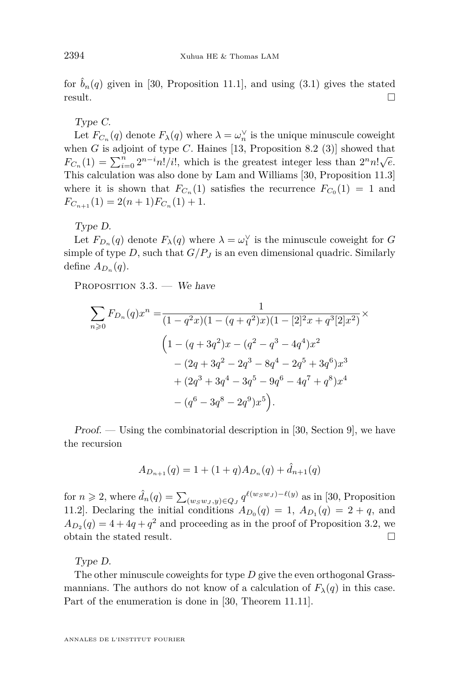for  $\hat{b}_n(q)$  given in [\[30,](#page-27-0) Proposition 11.1], and using [\(3.1\)](#page-8-0) gives the stated  $r$ esult.

#### Type C.

Let  $F_{C_n}(q)$  denote  $F_{\lambda}(q)$  where  $\lambda = \omega_n^{\vee}$  is the unique minuscule coweight when  $G$  is adjoint of type  $C$ . Haines [\[13,](#page-27-0) Proposition 8.2 (3)] showed that *F*<sub>*C<sub>n</sub>*</sub>(1) =  $\sum_{i=0}^{n} 2^{n-i}n!/i!$ , which is the greatest integer less than  $2^{n}n!\sqrt{e}$ . This calculation was also done by Lam and Williams [\[30,](#page-27-0) Proposition 11.3] where it is shown that  $F_{C_n}(1)$  satisfies the recurrence  $F_{C_0}(1) = 1$  and  $F_{C_{n+1}}(1) = 2(n+1)F_{C_n}(1) + 1.$ 

Type D.

Let  $F_{D_n}(q)$  denote  $F_{\lambda}(q)$  where  $\lambda = \omega_1^{\vee}$  is the minuscule coweight for *G* simple of type *D*, such that  $G/P_J$  is an even dimensional quadric. Similarly define  $A_{D_n}(q)$ .

PROPOSITION 3.3. - We have

$$
\sum_{n\geqslant 0} F_{D_n}(q)x^n = \frac{1}{(1-q^2x)(1-(q+q^2)x)(1-[2]^2x+q^3[2]x^2)} \times
$$
\n
$$
\left(1-(q+3q^2)x-(q^2-q^3-4q^4)x^2 - (2q+3q^2-2q^3-8q^4-2q^5+3q^6)x^3 + (2q^3+3q^4-3q^5-9q^6-4q^7+q^8)x^4 - (q^6-3q^8-2q^9)x^5\right).
$$

Proof. — Using the combinatorial description in [\[30,](#page-27-0) Section 9], we have the recursion

$$
A_{D_{n+1}}(q) = 1 + (1+q)A_{D_n}(q) + \hat{d}_{n+1}(q)
$$

for  $n \ge 2$ , where  $\hat{d}_n(q) = \sum_{(w_S w_J, y) \in Q_J} q^{\ell(w_S w_J) - \ell(y)}$  as in [\[30,](#page-27-0) Proposition 11.2. Declaring the initial conditions  $A_{D_0}(q) = 1$ ,  $A_{D_1}(q) = 2 + q$ , and  $A_{D_2}(q) = 4 + 4q + q^2$  and proceeding as in the proof of Proposition [3.2,](#page-9-0) we obtain the stated result.

Type D.

The other minuscule coweights for type *D* give the even orthogonal Grassmannians. The authors do not know of a calculation of  $F_{\lambda}(q)$  in this case. Part of the enumeration is done in [\[30,](#page-27-0) Theorem 11.11].

ANNALES DE L'INSTITUT FOURIER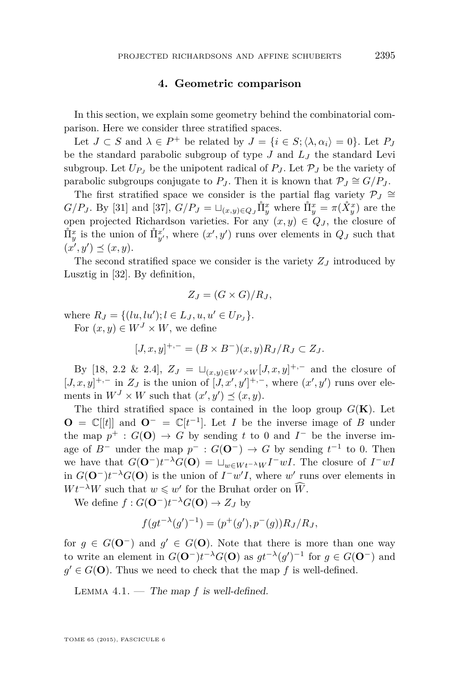#### **4. Geometric comparison**

<span id="page-11-0"></span>In this section, we explain some geometry behind the combinatorial comparison. Here we consider three stratified spaces.

Let  $J \subset S$  and  $\lambda \in P^+$  be related by  $J = \{i \in S; \langle \lambda, \alpha_i \rangle = 0\}$ . Let  $P_J$ be the standard parabolic subgroup of type *J* and *L<sup>J</sup>* the standard Levi subgroup. Let  $U_{P}$  be the unipotent radical of  $P_J$ . Let  $P_J$  be the variety of parabolic subgroups conjugate to  $P_J$ . Then it is known that  $P_J \cong G/P_J$ .

The first stratified space we consider is the partial flag variety  $\mathcal{P}_J \cong$ *G/P<sub>J</sub>*. By [\[31\]](#page-27-0) and [\[37\]](#page-28-0),  $G/P_J = \sqcup_{(x,y)\in Q_J} \mathring{\Pi}^x_y$  where  $\mathring{\Pi}^x_y = \pi(\mathring{X}^x_y)$  are the open projected Richardson varieties. For any  $(x, y) \in Q_J$ , the closure of  $\hat{\Pi}_{y}^{x}$  is the union of  $\hat{\Pi}_{y'}^{x'}$ , where  $(x', y')$  runs over elements in  $Q_J$  such that  $(x', y') \preceq (x, y).$ 

The second stratified space we consider is the variety *Z<sup>J</sup>* introduced by Lusztig in [\[32\]](#page-27-0). By definition,

$$
Z_J = (G \times G)/R_J,
$$

where  $R_J = \{(lu, lu'); l \in L_J, u, u' \in U_{P_J}\}.$ 

For  $(x, y) \in W^J \times W$ , we define

 $[J, x, y]^{+,-} = (B \times B^{-})(x, y)R_J/R_J \subset Z_J$ .

By [\[18,](#page-27-0) 2.2 & 2.4],  $Z_J = \sqcup_{(x,y)\in W^J\times W} [J, x, y]^{+,-}$  and the closure of  $[J, x, y]^{+,-}$  in  $Z_J$  is the union of  $[J, x', y']^{+,-}$ , where  $(x', y')$  runs over elements in  $W<sup>J</sup> \times W$  such that  $(x', y') \preceq (x, y)$ .

The third stratified space is contained in the loop group  $G(\mathbf{K})$ . Let **O** =  $\mathbb{C}[[t]]$  and **O**<sup>−</sup> =  $\mathbb{C}[t^{-1}]$ . Let *I* be the inverse image of *B* under the map  $p^+$ :  $G(\mathbf{O}) \to G$  by sending *t* to 0 and  $I^-$  be the inverse image of  $B^-$  under the map  $p^-$ :  $G(\mathbf{O}^-) \to G$  by sending  $t^{-1}$  to 0. Then we have that  $G(\mathbf{O}^-)t^{-\lambda}G(\mathbf{O}) = \sqcup_{w \in W_t^{-\lambda}W} I^{-}wI$ . The closure of  $I^{-}wI$ in  $G(\mathbf{O}^-)t^{-\lambda}G(\mathbf{O})$  is the union of  $I^-w'I$ , where w' runs over elements in  $Wt^{-\lambda}W$  such that  $w \leq w'$  for the Bruhat order on  $\widehat{W}$ .

We define  $f: G(\mathbf{O}^-)t^{-\lambda}G(\mathbf{O}) \to Z_J$  by

$$
f(gt^{-\lambda}(g')^{-1}) = (p^+(g'), p^-(g))R_J/R_J,
$$

for  $g \in G(\mathbf{O}^-)$  and  $g' \in G(\mathbf{O})$ . Note that there is more than one way to write an element in  $G(\mathbf{O}^-)t^{-\lambda}G(\mathbf{O})$  as  $gt^{-\lambda}(g')^{-1}$  for  $g \in G(\mathbf{O}^-)$  and  $g' \in G(\mathbf{O})$ . Thus we need to check that the map f is well-defined.

Lemma 4.1. — The map *f* is well-defined.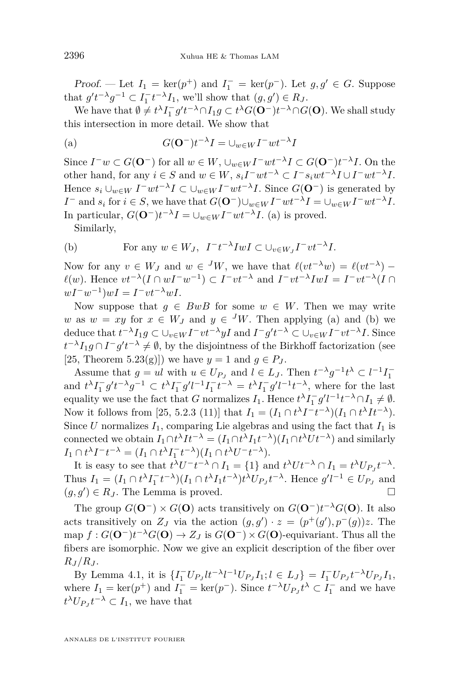*Proof.* — Let  $I_1 = \ker(p^+)$  and  $I_1^- = \ker(p^-)$ . Let  $g, g' \in G$ . Suppose that  $g't^{-\lambda}g^{-1} \subset I_1^-t^{-\lambda}I_1$ , we'll show that  $(g, g') \in R_J$ .

We have that  $\emptyset \neq t^{\lambda} I_1^- g' t^{-\lambda} \cap I_1 g \subset t^{\lambda} G(\mathbf{O}^-) t^{-\lambda} \cap G(\mathbf{O})$ . We shall study this intersection in more detail. We show that

(a) 
$$
G(\mathbf{O}^{-})t^{-\lambda}I = \bigcup_{w \in W} I^{-}wt^{-\lambda}I
$$

Since  $I^-w \subset G(\mathbf{O}^-)$  for all  $w \in W$ ,  $\cup_{w \in W} I^-wt^{-\lambda}I \subset G(\mathbf{O}^-)t^{-\lambda}I$ . On the other hand, for any  $i \in S$  and  $w \in W$ ,  $s_i I^- w t^{-\lambda} \subset I^- s_i w t^{-\lambda} I \cup I^- w t^{-\lambda} I$ . Hence  $s_i \cup_{w \in W} I^- w t^{-\lambda} I \subset \cup_{w \in W} I^- w t^{-\lambda} I$ . Since  $G(\mathbf{O}^-)$  is generated by *I*<sup>−</sup> and *s*<sub>*i*</sub> for  $i \in S$ , we have that  $G(\mathbf{O}^-) \cup_{w \in W} I^- w t^{-\lambda} I = \cup_{w \in W} I^- w t^{-\lambda} I$ . In particular,  $G(\mathbf{O}^-)t^{-\lambda}I = \bigcup_{w \in W} I^{-}wt^{-\lambda}I$ . (a) is proved.

Similarly,

(b) For any 
$$
w \in W_J
$$
,  $I^{-}t^{-\lambda} I w I \subset \bigcup_{v \in W_J} I^{-} v t^{-\lambda} I$ .

Now for any  $v \in W_J$  and  $w \in {}^J W$ , we have that  $\ell(vt^{-\lambda}w) = \ell(vt^{-\lambda})$  $\ell(w)$ . Hence  $vt^{-\lambda}(I \cap wI^{-}w^{-1}) \subset I^{-}vt^{-\lambda}$  and  $I^{-}vt^{-\lambda}IwI = I^{-}vt^{-\lambda}(I \cap wI^{-}w^{-1})$  $wI^{-}w^{-1}$ ) $wI = I^{-}vt^{-\lambda}wI$ .

Now suppose that  $q \in BwB$  for some  $w \in W$ . Then we may write *w* as  $w = xy$  for  $x \in W_J$  and  $y \in {}^JW$ . Then applying (a) and (b) we deduce that  $t^{-\lambda}I_1g \subset \bigcup_{v\in W}I^-vt^{-\lambda}yI$  and  $I^-g't^{-\lambda} \subset \bigcup_{v\in W}I^-vt^{-\lambda}I$ . Since  $t^{-\lambda}I_1g \cap I^-g't^{-\lambda} \neq \emptyset$ , by the disjointness of the Birkhoff factorization (see [\[25,](#page-27-0) Theorem 5.23(g)]) we have  $y = 1$  and  $q \in P_J$ .

Assume that  $g = ul$  with  $u \in U_{P_J}$  and  $l \in L_J$ . Then  $t^{-\lambda}g^{-1}t^{\lambda} \subset l^{-1}I_1^{-}$ and  $t^{\lambda}I_1^- g' t^{-\lambda}g^{-1} \subset t^{\lambda}I_1^- g' l^{-1}I_1^- t^{-\lambda} = t^{\lambda}I_1^- g' l^{-1} t^{-\lambda}$ , where for the last equality we use the fact that *G* normalizes  $I_1$ . Hence  $t^{\lambda} I_1^- g' l^{-1} t^{-\lambda} \cap I_1 \neq \emptyset$ . Now it follows from [\[25,](#page-27-0) 5.2.3 (11)] that  $I_1 = (I_1 \cap t^{\lambda} I^{-} t^{-\lambda})(I_1 \cap t^{\lambda} I t^{-\lambda})$ . Since *U* normalizes  $I_1$ , comparing Lie algebras and using the fact that  $I_1$  is connected we obtain  $I_1 \cap t^{\lambda} I t^{-\lambda} = (I_1 \cap t^{\lambda} I_1 t^{-\lambda})(I_1 \cap t^{\lambda} U t^{-\lambda})$  and similarly  $I_1 \cap t^{\lambda}I^-t^{-\lambda} = (I_1 \cap t^{\lambda}I_1^-t^{-\lambda})(I_1 \cap t^{\lambda}U^-t^{-\lambda}).$ 

It is easy to see that  $t^{\lambda}U^{-}t^{-\lambda} \cap I_{1} = \{1\}$  and  $t^{\lambda}Ut^{-\lambda} \cap I_{1} = t^{\lambda}U_{P_{J}}t^{-\lambda}$ . Thus  $I_1 = (I_1 \cap t^{\lambda} I_1^- t^{-\lambda}) (I_1 \cap t^{\lambda} I_1 t^{-\lambda}) t^{\lambda} U_{P_J} t^{-\lambda}$ . Hence  $g'l^{-1} \in U_{P_J}$  and  $(g, g') \in R_J$ . The Lemma is proved.

The group  $G(\mathbf{O}^-) \times G(\mathbf{O})$  acts transitively on  $G(\mathbf{O}^-)t^{-\lambda}G(\mathbf{O})$ . It also acts transitively on  $Z_J$  via the action  $(g, g') \cdot z = (p^+(g'), p^-(g))z$ . The map  $f: G(\mathbf{O}^-)t^{-\lambda}G(\mathbf{O}) \to Z_J$  is  $G(\mathbf{O}^-) \times G(\mathbf{O})$ -equivariant. Thus all the fibers are isomorphic. Now we give an explicit description of the fiber over  $R_J/R_J$ .

By Lemma [4.1,](#page-11-0) it is  $\{I_1^- U_{P_J} t^{I} t^{-\lambda} l^{-1} U_{P_J} I_1; l \in L_J\} = I_1^- U_{P_J} t^{-\lambda} U_{P_J} I_1$ , where  $I_1 = \ker(p^+)$  and  $I_1^- = \ker(p^-)$ . Since  $t^{-\lambda}U_{P_J}t^{\lambda} \subset I_1^-$  and we have  $t^{\lambda}U_{P_J}t^{-\lambda} \subset I_1$ , we have that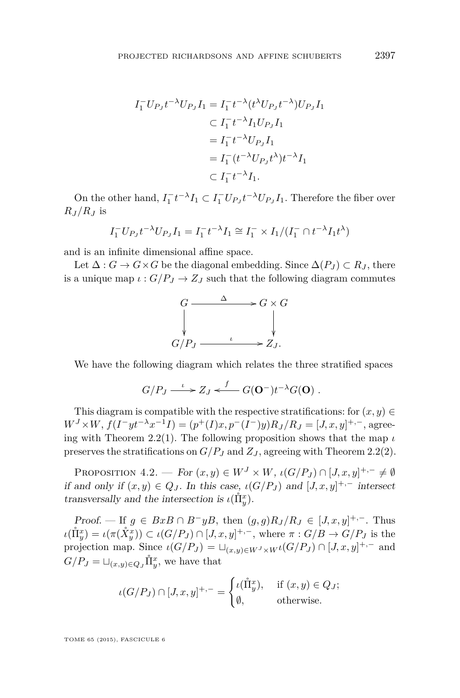$$
I_1^- U_{P_J} t^{-\lambda} U_{P_J} I_1 = I_1^- t^{-\lambda} (t^{\lambda} U_{P_J} t^{-\lambda}) U_{P_J} I_1
$$
  
\n
$$
\subset I_1^- t^{-\lambda} I_1 U_{P_J} I_1
$$
  
\n
$$
= I_1^- t^{-\lambda} U_{P_J} I_1
$$
  
\n
$$
= I_1^- (t^{-\lambda} U_{P_J} t^{\lambda}) t^{-\lambda} I_1
$$
  
\n
$$
\subset I_1^- t^{-\lambda} I_1.
$$

On the other hand,  $I_1^- t^{-\lambda} I_1 \subset I_1^- U_{P_J} t^{-\lambda} U_{P_J} I_1$ . Therefore the fiber over  $R_I/R_I$  is

$$
I_1^- U_{P_J} t^{-\lambda} U_{P_J} I_1 = I_1^- t^{-\lambda} I_1 \cong I_1^- \times I_1 / (I_1^- \cap t^{-\lambda} I_1 t^{\lambda})
$$

and is an infinite dimensional affine space.

Let  $\Delta: G \to G \times G$  be the diagonal embedding. Since  $\Delta(P_J) \subset R_J$ , there is a unique map  $\iota$  :  $G/P_J \to Z_J$  such that the following diagram commutes



We have the following diagram which relates the three stratified spaces

$$
G/P_J \longrightarrow Z_J \stackrel{f}{\longleftarrow} G(\mathbf{O}^-) t^{-\lambda} G(\mathbf{O}) \ .
$$

This diagram is compatible with the respective stratifications: for  $(x, y) \in$  $W^{J} \times W$ ,  $f(I^{-}yt^{-\lambda}x^{-1}I) = (p^{+}(I)x, p^{-}(I^{-})y)R_{J}/R_{J} = [J, x, y]^{+,-}$ , agree-ing with Theorem [2.2\(](#page-7-0)1). The following proposition shows that the map  $\iota$ preserves the stratifications on  $G/P_J$  and  $Z_J$ , agreeing with Theorem [2.2\(](#page-7-0)2).

PROPOSITION  $4.2.$  — For  $(x, y) \in W^J \times W$ ,  $\iota(G/P_J) \cap [J, x, y]^{+,-} \neq \emptyset$ if and only if  $(x, y) \in Q_J$ . In this case,  $\iota(G/P_J)$  and  $[J, x, y]^{+,-}$  intersect transversally and the intersection is  $\iota(\mathring{\Pi}_{y}^{x})$ .

Proof. — If  $g \in BxB \cap B^{-}yB$ , then  $(g, g)R_J/R_J \in [J, x, y]^{+,-}$ . Thus  $\iota(\mathring{\Pi}_{y}^{x}) = \iota(\pi(\mathring{X}_{y}^{x})) \subset \iota(G/P_{J}) \cap [J, x, y]^{+,-}$ , where  $\pi: G/B \to G/P_{J}$  is the projection map. Since  $\iota(G/P_J) = \sqcup_{(x,y)\in W^J\times W^J}(G/P_J) \cap [J,x,y]^{+,-}$  and  $G/P_J = \sqcup_{(x,y)\in Q_J} \mathring{\Pi}_y^x$ , we have that

$$
\iota(G/P_J) \cap [J, x, y]^{+,-} = \begin{cases} \iota(\mathring{\Pi}_y^x), & \text{if } (x, y) \in Q_J; \\ \emptyset, & \text{otherwise.} \end{cases}
$$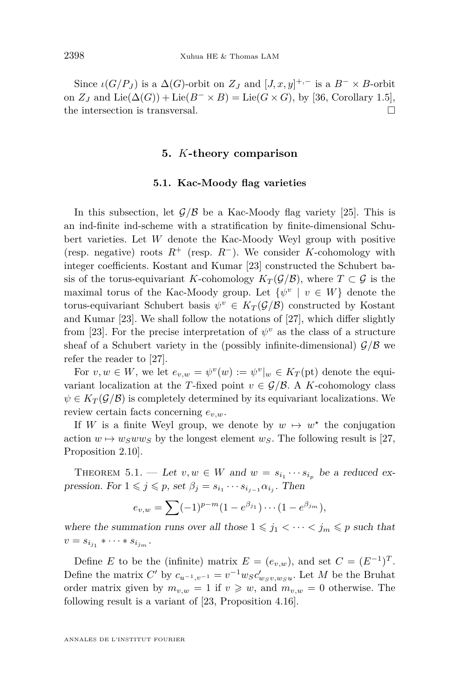<span id="page-14-0"></span>Since  $\iota(G/P_J)$  is a  $\Delta(G)$ -orbit on  $Z_J$  and  $[J, x, y]^{+,-}$  is a  $B^- \times B$ -orbit on  $Z_J$  and  $\text{Lie}(\Delta(G)) + \text{Lie}(B^- \times B) = \text{Lie}(G \times G)$ , by [\[36,](#page-28-0) Corollary 1.5], the intersection is transversal.

#### **5.** *K***-theory comparison**

#### **5.1. Kac-Moody flag varieties**

In this subsection, let  $\mathcal{G}/\mathcal{B}$  be a Kac-Moody flag variety [\[25\]](#page-27-0). This is an ind-finite ind-scheme with a stratification by finite-dimensional Schubert varieties. Let *W* denote the Kac-Moody Weyl group with positive (resp. negative) roots  $R^+$  (resp.  $R^-$ ). We consider *K*-cohomology with integer coefficients. Kostant and Kumar [\[23\]](#page-27-0) constructed the Schubert basis of the torus-equivariant *K*-cohomology  $K_T(\mathcal{G}/\mathcal{B})$ , where  $T \subset \mathcal{G}$  is the maximal torus of the Kac-Moody group. Let  $\{\psi^v \mid v \in W\}$  denote the torus-equivariant Schubert basis  $\psi^v \in K_T(\mathcal{G}/\mathcal{B})$  constructed by Kostant and Kumar [\[23\]](#page-27-0). We shall follow the notations of [\[27\]](#page-27-0), which differ slightly from [\[23\]](#page-27-0). For the precise interpretation of  $\psi^v$  as the class of a structure sheaf of a Schubert variety in the (possibly infinite-dimensional)  $\mathcal{G}/\mathcal{B}$  we refer the reader to [\[27\]](#page-27-0).

For  $v, w \in W$ , we let  $e_{v,w} = \psi^v(w) := \psi^v|_w \in K_T(\text{pt})$  denote the equivariant localization at the *T*-fixed point  $v \in \mathcal{G}/\mathcal{B}$ . A *K*-cohomology class  $\psi \in K_T(\mathcal{G}/\mathcal{B})$  is completely determined by its equivariant localizations. We review certain facts concerning *ev,w*.

If *W* is a finite Weyl group, we denote by  $w \mapsto w^*$  the conjugation action  $w \mapsto w_S w w_S$  by the longest element  $w_S$ . The following result is [\[27,](#page-27-0) Proposition 2.10].

THEOREM 5.1. — Let  $v, w \in W$  and  $w = s_{i_1} \cdots s_{i_p}$  be a reduced expression. For  $1 \leq j \leq p$ , set  $\beta_j = s_{i_1} \cdots s_{i_{j-1}} \alpha_{i_j}$ . Then

$$
e_{v,w} = \sum (-1)^{p-m} (1 - e^{\beta_{j_1}}) \cdots (1 - e^{\beta_{j_m}}),
$$

where the summation runs over all those  $1 \leq j_1 < \cdots < j_m \leq p$  such that  $v = s_{i_{j_1}} * \cdots * s_{i_{j_m}}.$ 

Define *E* to be the (infinite) matrix  $E = (e_{v,w})$ , and set  $C = (E^{-1})^T$ . Define the matrix  $C'$  by  $c_{u^{-1},v^{-1}} = v^{-1}w_Sc'_{w_Sv,w_Su}$ . Let  $M$  be the Bruhat order matrix given by  $m_{v,w} = 1$  if  $v \geq w$ , and  $m_{v,w} = 0$  otherwise. The following result is a variant of [\[23,](#page-27-0) Proposition 4.16].

ANNALES DE L'INSTITUT FOURIER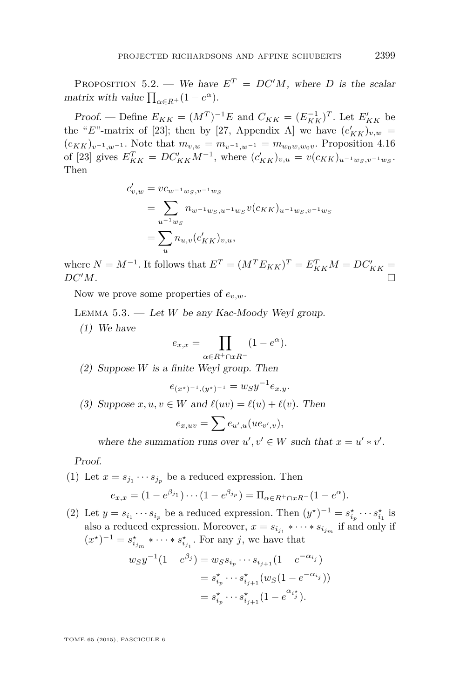<span id="page-15-0"></span>PROPOSITION 5.2. — We have  $E^T = DC'M$ , where *D* is the scalar matrix with value  $\prod_{\alpha \in R^+} (1 - e^{\alpha}).$ 

*Proof.* — Define  $E_{KK} = (M^T)^{-1}E$  and  $C_{KK} = (E_{KK}^{-1})^T$ . Let  $E'_{KK}$  be the "*E*"-matrix of [\[23\]](#page-27-0); then by [\[27,](#page-27-0) Appendix A] we have  $(e'_{KK})_{v,w}$  =  $(e_{KK})_{v^{-1},w^{-1}}$ . Note that  $m_{v,w} = m_{v^{-1},w^{-1}} = m_{w_0w,w_0v}$ . Proposition 4.16 of [\[23\]](#page-27-0) gives  $E_{KK}^T = DC_{KK}'M^{-1}$ , where  $(c_{KK}')_{v,u} = v(c_{KK})_{u^{-1}w_S,v^{-1}w_S}$ . Then

$$
c'_{v,w} = vc_{w^{-1}w_S, v^{-1}w_S}
$$
  
= 
$$
\sum_{u^{-1}w_S} n_{w^{-1}w_S, u^{-1}w_S} v(c_{KK})_{u^{-1}w_S, v^{-1}w_S}
$$
  
= 
$$
\sum_{u} n_{u,v}(c'_{KK})_{v,u},
$$

where  $N = M^{-1}$ . It follows that  $E^{T} = (M^{T} E_{KK})^{T} = E_{KK}^{T} M = D C_{KK}' =$  $DC'M$ .

Now we prove some properties of *ev,w*.

LEMMA  $5.3.$  — Let *W* be any Kac-Moody Weyl group.

(1) We have

$$
e_{x,x} = \prod_{\alpha \in R^+ \cap xR^-} (1 - e^{\alpha}).
$$

(2) Suppose *W* is a finite Weyl group. Then

$$
e_{(x^*)^{-1},(y^*)^{-1}} = w_S y^{-1} e_{x,y}.
$$

(3) Suppose  $x, u, v \in W$  and  $\ell(uv) = \ell(u) + \ell(v)$ . Then

$$
e_{x,uv} = \sum e_{u',u}(ue_{v',v}),
$$

where the summation runs over  $u', v' \in W$  such that  $x = u' * v'$ .

Proof.

(1) Let  $x = s_{j_1} \cdots s_{j_p}$  be a reduced expression. Then

$$
e_{x,x} = (1 - e^{\beta_{j_1}}) \cdots (1 - e^{\beta_{j_p}}) = \Pi_{\alpha \in R^+ \cap xR^-} (1 - e^{\alpha}).
$$

(2) Let  $y = s_{i_1} \cdots s_{i_p}$  be a reduced expression. Then  $(y^*)^{-1} = s_{i_p}^* \cdots s_{i_1}^*$  is also a reduced expression. Moreover,  $x = s_{i_{j_1}} * \cdots * s_{i_{j_m}}$  if and only if  $(x^*)^{-1} = s_{i_{j_m}}^* * \cdots * s_{i_{j_1}}^*$ . For any *j*, we have that

$$
w_S y^{-1} (1 - e^{\beta_j}) = w_S s_{i_p} \cdots s_{i_{j+1}} (1 - e^{-\alpha_{i_j}})
$$
  
=  $s_{i_p}^* \cdots s_{i_{j+1}}^* (w_S (1 - e^{-\alpha_{i_j}}))$   
=  $s_{i_p}^* \cdots s_{i_{j+1}}^* (1 - e^{\alpha_{i_j}^*}).$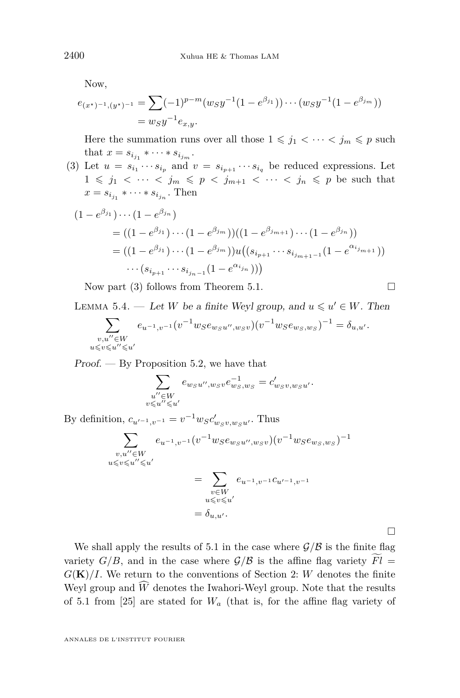<span id="page-16-0"></span>Now,

$$
e_{(x^*)^{-1},(y^*)^{-1}} = \sum (-1)^{p-m} (w_S y^{-1} (1 - e^{\beta_{j_1}})) \cdots (w_S y^{-1} (1 - e^{\beta_{j_m}}))
$$
  
=  $w_S y^{-1} e_{x,y}.$ 

Here the summation runs over all those  $1 \leq j_1 < \cdots < j_m \leq p$  such that  $x = s_{i_{j_1}} * \cdots * s_{i_{j_m}}$ .

(3) Let  $u = s_{i_1} \cdots s_{i_p}$  and  $v = s_{i_{p+1}} \cdots s_{i_q}$  be reduced expressions. Let  $1 \leq j_1 \leq \cdots \leq j_m \leq p \leq j_{m+1} \leq \cdots \leq j_n \leq p$  be such that  $x = s_{i_{j_1}} \cdot \cdots \cdot s_{i_{j_n}}$ . Then

$$
(1 - e^{\beta_{j_1}}) \cdots (1 - e^{\beta_{j_n}})
$$
  
= ((1 - e^{\beta\_{j\_1}}) \cdots (1 - e^{\beta\_{j\_m}}))((1 - e^{\beta\_{j\_{m+1}}}) \cdots (1 - e^{\beta\_{j\_n}}))  
= ((1 - e^{\beta\_{j\_1}}) \cdots (1 - e^{\beta\_{j\_m}}))u((s\_{i\_{p+1}} \cdots s\_{i\_{j\_{m+1}-1}}(1 - e^{\alpha\_{i\_{j\_{m+1}}}}))  
\cdots (s\_{i\_{p+1}} \cdots s\_{i\_{j\_{n-1}}}(1 - e^{\alpha\_{i\_{j\_n}}}))

Now part (3) follows from Theorem [5.1.](#page-14-0)  $\Box$ 

LEMMA 5.4. — Let *W* be a finite Weyl group, and  $u \leq u' \in W$ . Then

$$
\sum_{\substack{v,u''\in W\\ u\leqslant v\leqslant u''\leqslant u'}}e_{u^{-1},v^{-1}}(v^{-1}w_S e_{w_Su'',w_Sv})(v^{-1}w_S e_{w_S,w_S})^{-1}=\delta_{u,u'}.
$$

 $Proof.$  — By Proposition [5.2,](#page-15-0) we have that

$$
\sum_{\substack{u'' \in W \\ v \leqslant u'' \leqslant u'}} e_{w_S u'', w_S v} e_{w_S, w_S}^{-1} = c'_{w_S v, w_S u'}.
$$

By definition,  $c_{u'-1,v^{-1}} = v^{-1}w_S c'_{w_S v, w_S u'}$ . Thus

$$
\sum_{\substack{v, u'' \in W \\ u \le v \le u'' \le u'}} e_{u^{-1}, v^{-1}} (v^{-1} w_S e_{w_S u'', w_S v}) (v^{-1} w_S e_{w_S, w_S})^{-1}
$$
\n
$$
= \sum_{\substack{v \in W \\ u \le v \le u'}} e_{u^{-1}, v^{-1} c_{u'-1}, v^{-1}}
$$
\n
$$
= \delta_{u, u'}.
$$

 $\Box$ 

We shall apply the results of [5.1](#page-14-0) in the case where  $\mathcal{G}/\mathcal{B}$  is the finite flag variety  $G/B$ , and in the case where  $\mathcal{G}/\mathcal{B}$  is the affine flag variety  $Fl =$  $G(K)/I$ . We return to the conventions of Section [2:](#page-4-0) *W* denotes the finite Weyl group and  $\widehat{W}$  denotes the Iwahori-Weyl group. Note that the results of [5.1](#page-14-0) from [\[25\]](#page-27-0) are stated for *W<sup>a</sup>* (that is, for the affine flag variety of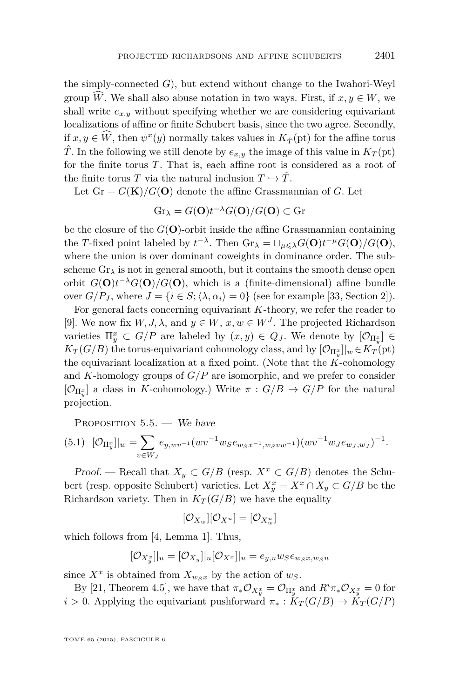<span id="page-17-0"></span>the simply-connected *G*), but extend without change to the Iwahori-Weyl group *W*. We shall also abuse notation in two ways. First, if  $x, y \in W$ , we shall write  $e_{x,y}$  without specifying whether we are considering equivariant localizations of affine or finite Schubert basis, since the two agree. Secondly, if  $x, y \in W$ , then  $\psi^x(y)$  normally takes values in  $K_{\hat{T}}(\text{pt})$  for the affine torus  $\hat{T}$ . In the following we still denote by  $e_{x,y}$  the image of this value in  $K_T(pt)$ for the finite torus *T*. That is, each affine root is considered as a root of the finite torus *T* via the natural inclusion  $T \hookrightarrow \hat{T}$ .

Let  $Gr = G(K)/G(O)$  denote the affine Grassmannian of *G*. Let

$$
\mathrm{Gr}_{\lambda} = \overline{G(\mathbf{O})t^{-\lambda}G(\mathbf{O})/G(\mathbf{O})} \subset \mathrm{Gr}
$$

be the closure of the  $G(\mathbf{O})$ -orbit inside the affine Grassmannian containing the *T*-fixed point labeled by  $t^{-\lambda}$ . Then  $\mathrm{Gr}_{\lambda} = \sqcup_{\mu \leq \lambda} G(\mathbf{O}) t^{-\mu} G(\mathbf{O}) / G(\mathbf{O}),$ where the union is over dominant coweights in dominance order. The subscheme  $Gr_{\lambda}$  is not in general smooth, but it contains the smooth dense open orbit  $G(\mathbf{O})t^{-\lambda}G(\mathbf{O})/G(\mathbf{O})$ , which is a (finite-dimensional) affine bundle over  $G/P_J$ , where  $J = \{i \in S; \langle \lambda, \alpha_i \rangle = 0\}$  (see for example [\[33,](#page-27-0) Section 2]).

For general facts concerning equivariant *K*-theory, we refer the reader to [\[9\]](#page-26-0). We now fix  $W, J, \lambda$ , and  $y \in W$ ,  $x, w \in W<sup>J</sup>$ . The projected Richardson varieties  $\Pi_y^x \subset G/P$  are labeled by  $(x, y) \in Q_J$ . We denote by  $[\mathcal{O}_{\Pi_y^x}] \in$  $K_T(G/B)$  the torus-equivariant cohomology class, and by  $[\mathcal{O}_{\Pi_y^x}]|_w \in K_T(\text{pt})$ the equivariant localization at a fixed point. (Note that the *K*-cohomology and *K*-homology groups of *G/P* are isomorphic, and we prefer to consider  $[\mathcal{O}_{\Pi_y^x}]$  a class in *K*-cohomology.) Write  $\pi: G/B \to G/P$  for the natural projection.

PROPOSITION  $5.5.$  — We have

$$
(5.1) \quad [\mathcal{O}_{\Pi_y^x}]|_w = \sum_{v \in W_J} e_{y,wv^{-1}}(wv^{-1}w_S e_{w_Sx^{-1},w_Svw^{-1}})(wv^{-1}w_J e_{w_J,w_J})^{-1}.
$$

Proof. — Recall that  $X_y \subset G/B$  (resp.  $X^x \subset G/B$ ) denotes the Schubert (resp. opposite Schubert) varieties. Let  $X_y^x = X^x \cap X_y \subset G/B$  be the Richardson variety. Then in  $K_T(G/B)$  we have the equality

$$
[\mathcal{O}_{X_w}][\mathcal{O}_{X^u}]=[\mathcal{O}_{X^u_w}]
$$

which follows from [\[4,](#page-26-0) Lemma 1]. Thus,

$$
[\mathcal{O}_{X_y^x}]|_u = [\mathcal{O}_{X_y}]|_u[\mathcal{O}_{X^x}]|_u = e_{y,u}w_S e_{w_S x, w_S u}
$$

since  $X^x$  is obtained from  $X_{w_S x}$  by the action of  $w_S$ .

By [\[21,](#page-27-0) Theorem 4.5], we have that  $\pi_* \mathcal{O}_{X_y^x} = \mathcal{O}_{\Pi_y^x}$  and  $R^i \pi_* \mathcal{O}_{X_y^x} = 0$  for *i* > 0. Applying the equivariant pushforward  $\pi_* : K_T(G/B) \to K_T(G/P)$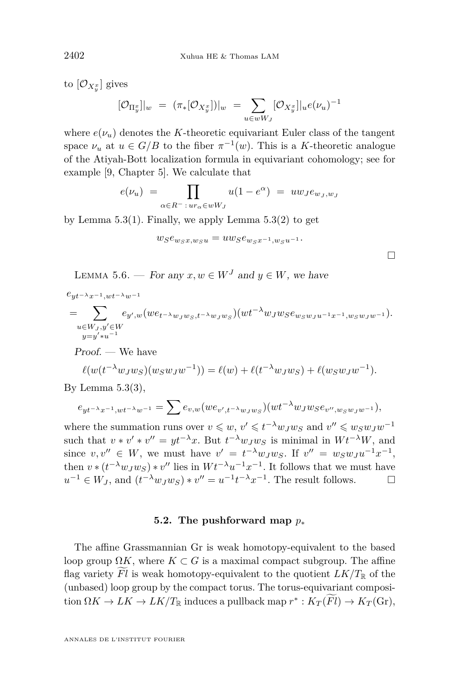<span id="page-18-0"></span>to  $[\mathcal{O}_{X^x_y}]$  gives

$$
[\mathcal{O}_{\Pi_y^x}]|_w = (\pi_*[\mathcal{O}_{X_y^x}])|_w = \sum_{u \in wW_J} [\mathcal{O}_{X_y^x}]|_u e(\nu_u)^{-1}
$$

where  $e(\nu_u)$  denotes the *K*-theoretic equivariant Euler class of the tangent space  $\nu_u$  at  $u \in G/B$  to the fiber  $\pi^{-1}(w)$ . This is a *K*-theoretic analogue of the Atiyah-Bott localization formula in equivariant cohomology; see for example [\[9,](#page-26-0) Chapter 5]. We calculate that

$$
e(\nu_u) = \prod_{\alpha \in R^- \, : \, ur_\alpha \in wW_J} u(1 - e^{\alpha}) = uw_J e_{w_J, w_J}
$$

by Lemma  $5.3(1)$  $5.3(1)$ . Finally, we apply Lemma  $5.3(2)$  to get

$$
w_S e_{w_S x, w_S u} = u w_S e_{w_S x^{-1}, w_S u^{-1}}.
$$

 $\Box$ 

LEMMA 5.6. — For any  $x, w \in W<sup>J</sup>$  and  $y \in W$ , we have

*eyt*−*λx*−1*,wt*−*λw*−<sup>1</sup> = X *u*∈*W<sup>J</sup> ,y*0∈*W y*=*y* <sup>0</sup>∗*u* −1 *ey*<sup>0</sup> *,w*(*wet*−*λw<sup>J</sup> <sup>w</sup><sup>S</sup> ,t*−*λw<sup>J</sup> <sup>w</sup><sup>S</sup>* )(*wt*<sup>−</sup>*λwJwSew<sup>S</sup> <sup>w</sup><sup>J</sup> <sup>u</sup>*−1*x*−1*,w<sup>S</sup> <sup>w</sup><sup>J</sup> <sup>w</sup>*−<sup>1</sup> )*.*

Proof. — We have

$$
\ell(w(t^{-\lambda}w_Jw_S)(w_Sw_Jw^{-1})) = \ell(w) + \ell(t^{-\lambda}w_Jw_S) + \ell(w_Sw_Jw^{-1}).
$$

By Lemma  $5.3(3)$  $5.3(3)$ ,

$$
e_{yt^{-\lambda}x^{-1},wt^{-\lambda}w^{-1}} = \sum e_{v,w}(we_{v',t^{-\lambda}w_Jw_S})(wt^{-\lambda}w_Jw_Se_{v'',w_Sw_Jw^{-1}}),
$$

where the summation runs over  $v \leq w, v' \leq t^{-\lambda} w_J w_S$  and  $v'' \leq w_S w_J w^{-1}$ such that  $v * v' * v'' = yt^{-\lambda}x$ . But  $t^{-\lambda}w_Jw_S$  is minimal in  $Wt^{-\lambda}W$ , and since  $v, v'' \in W$ , we must have  $v' = t^{-\lambda} w_J w_S$ . If  $v'' = w_S w_J u^{-1} x^{-1}$ , then  $v * (t^{-\lambda} w_J w_S) * v''$  lies in  $W t^{-\lambda} u^{-1} x^{-1}$ . It follows that we must have  $u^{-1} \in W_J$ , and  $(t^{-\lambda} w_J w_S) * v'' = u^{-1} t^{-\lambda} x^{-1}$ . The result follows.

#### **5.2. The pushforward map** *p*<sup>∗</sup>

The affine Grassmannian Gr is weak homotopy-equivalent to the based loop group  $\Omega K$ , where  $K \subset G$  is a maximal compact subgroup. The affine flag variety Fl is weak homotopy-equivalent to the quotient  $LK/T_{\mathbb{R}}$  of the (unbased) loop group by the compact torus. The torus-equivariant composi- $\tan{\Omega} K \to LK \to LK/T_{\mathbb{R}}$  induces a pullback map  $r^* : K_T(Fl) \to K_T(\text{Gr}),$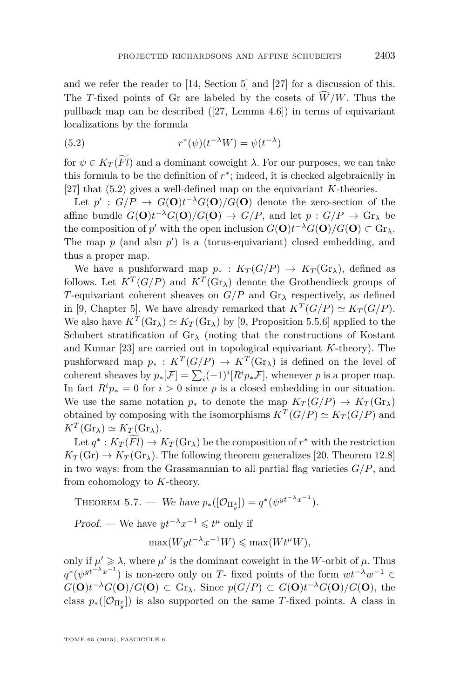<span id="page-19-0"></span>and we refer the reader to [\[14,](#page-27-0) Section 5] and [\[27\]](#page-27-0) for a discussion of this. The *T*-fixed points of Gr are labeled by the cosets of  $\widehat{W}/W$ . Thus the pullback map can be described ([\[27,](#page-27-0) Lemma 4.6]) in terms of equivariant localizations by the formula

(5.2) 
$$
r^*(\psi)(t^{-\lambda}W) = \psi(t^{-\lambda})
$$

for  $\psi \in K_T(\widetilde{Fl})$  and a dominant coweight  $\lambda$ . For our purposes, we can take this formula to be the definition of  $r^*$ ; indeed, it is checked algebraically in [\[27\]](#page-27-0) that (5.2) gives a well-defined map on the equivariant *K*-theories.

Let  $p'$ :  $G/P \rightarrow G(\mathbf{O})t^{-\lambda}G(\mathbf{O})/G(\mathbf{O})$  denote the zero-section of the affine bundle  $G(\mathbf{O})t^{-\lambda}G(\mathbf{O})/G(\mathbf{O}) \to G/P$ , and let  $p: G/P \to \text{Gr}_{\lambda}$  be the composition of *p*' with the open inclusion  $G(\mathbf{O})t^{-\lambda}G(\mathbf{O})/G(\mathbf{O}) \subset \text{Gr}_{\lambda}$ . The map  $p$  (and also  $p'$ ) is a (torus-equivariant) closed embedding, and thus a proper map.

We have a pushforward map  $p_*$ :  $K_T(G/P) \to K_T(\text{Gr}_\lambda)$ , defined as follows. Let  $K^T(G/P)$  and  $K^T(\text{Gr}_\lambda)$  denote the Grothendieck groups of *T*-equivariant coherent sheaves on *G/P* and Gr*<sup>λ</sup>* respectively, as defined in [\[9,](#page-26-0) Chapter 5]. We have already remarked that  $K^T(G/P) \simeq K_T(G/P)$ . We also have  $K^T(\text{Gr}_{\lambda}) \simeq K_T(\text{Gr}_{\lambda})$  by [\[9,](#page-26-0) Proposition 5.5.6] applied to the Schubert stratification of  $\text{Gr}_{\lambda}$  (noting that the constructions of Kostant and Kumar [\[23\]](#page-27-0) are carried out in topological equivariant *K*-theory). The pushforward map  $p_* : K^T(G/P) \to K^T(\text{Gr}_\lambda)$  is defined on the level of coherent sheaves by  $p_*[\mathcal{F}] = \sum_i (-1)^i [R^i p_* \mathcal{F}]$ , whenever *p* is a proper map. In fact  $R^i p_* = 0$  for  $i > 0$  since p is a closed embedding in our situation. We use the same notation  $p_*$  to denote the map  $K_T(G/P) \to K_T(\text{Gr}_\lambda)$ obtained by composing with the isomorphisms  $K^T(G/P) \simeq K_T(G/P)$  and  $K^T(\text{Gr}_{\lambda}) \simeq K_T(\text{Gr}_{\lambda}).$ 

Let  $q^* : K_T(Fl) \to K_T(\text{Gr}_{\lambda})$  be the composition of  $r^*$  with the restriction  $K_T(\text{Gr}) \to K_T(\text{Gr}_\lambda)$ . The following theorem generalizes [\[20,](#page-27-0) Theorem 12.8] in two ways: from the Grassmannian to all partial flag varieties  $G/P$ , and from cohomology to *K*-theory.

THEOREM 5.7. — We have 
$$
p_*([\mathcal{O}_{\Pi_y^x}]) = q^* (\psi^{y^{t^{-\lambda}x^{-1}}}).
$$

Proof. — We have  $yt^{-\lambda}x^{-1} \leq t^{\mu}$  only if

$$
\max(Wyt^{-\lambda}x^{-1}W) \le \max(Wt^{\mu}W),
$$

only if  $\mu' \geq \lambda$ , where  $\mu'$  is the dominant coweight in the *W*-orbit of  $\mu$ . Thus  $q^*(\psi^{yt^{-\lambda}x^{-1}})$  is non-zero only on *T*- fixed points of the form  $wt^{-\lambda}w^{-1} \in$  $G(\mathbf{O})t^{-\lambda}G(\mathbf{O})/G(\mathbf{O}) \subset \text{Gr}_{\lambda}$ . Since  $p(G/P) \subset G(\mathbf{O})t^{-\lambda}G(\mathbf{O})/G(\mathbf{O})$ , the class  $p_*(\mathcal{O}_{\Pi_y^x})$  is also supported on the same *T*-fixed points. A class in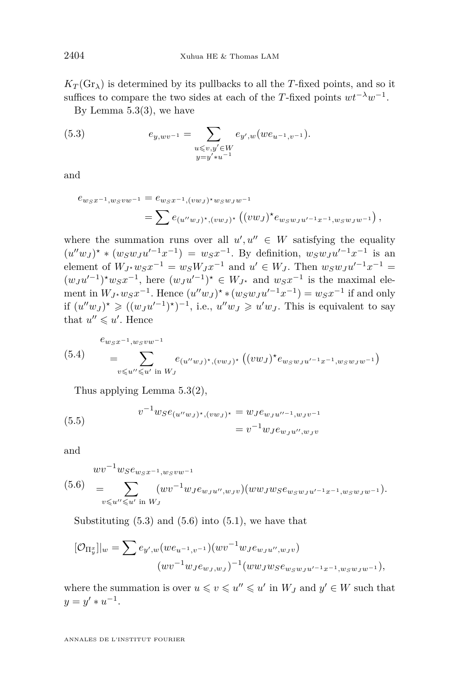$K_T(\text{Gr}_{\lambda})$  is determined by its pullbacks to all the *T*-fixed points, and so it suffices to compare the two sides at each of the *T*-fixed points  $wt^{-\lambda}w^{-1}$ .

By Lemma [5.3\(](#page-15-0)3), we have

(5.3) 
$$
e_{y, wv^{-1}} = \sum_{\substack{u \leqslant v, y' \in W \\ y = y' * u^{-1}}} e_{y', w}(we_{u^{-1}, v^{-1}}).
$$

and

$$
e_{w_S x^{-1}, w_S v w^{-1}} = e_{w_S x^{-1}, (v w_J)^\star w_S w_J w^{-1}}
$$
  
= 
$$
\sum e_{(u'' w_J)^\star, (v w_J)^\star} ((v w_J)^\star e_{w_S w_J u'^{-1} x^{-1}, w_S w_J w^{-1}}),
$$

where the summation runs over all  $u', u'' \in W$  satisfying the equality  $(u''w_J)^* * (w_Sw_Ju'^{-1}x^{-1}) = w_Sx^{-1}$ . By definition,  $w_Sw_Ju'^{-1}x^{-1}$  is an element of  $W_{J*}w_S x^{-1} = w_S W_J x^{-1}$  and  $u' \in W_J$ . Then  $w_S w_J u'^{-1} x^{-1} =$  $(w_J u'^{-1})^* w_S x^{-1}$ , here  $(w_J u'^{-1})^* \in W_{J^*}$  and  $w_S x^{-1}$  is the maximal element in  $W_{J^*}w_Sx^{-1}$ . Hence  $(u''w_J)^* * (w_Sw_Ju'^{-1}x^{-1}) = w_Sx^{-1}$  if and only if  $(u''w_J)^*$  ≥  $((w_Ju'^{-1})^*)^{-1}$ , i.e.,  $u''w_J$  ≥  $u'w_J$ . This is equivalent to say that  $u'' \leq u'$ . Hence

$$
(5.4) \qquad = \sum_{v \leq u'' \leq u' \text{ in } W_J} e_{(u''w_J)^*,(vw_J)^*} \left( (vw_J)^* e_{w_S w_J u'^{-1} x^{-1}, w_S w_J w^{-1}} \right)
$$

Thus applying Lemma [5.3\(](#page-15-0)2),

(5.5) 
$$
v^{-1}w_{S}e_{(u''w_{J})^{*},(vw_{J})^{*}} = w_{J}e_{w_{J}u''^{-1},w_{J}v^{-1}}
$$

$$
= v^{-1}w_{J}e_{w_{J}u'',w_{J}v}
$$

and

$$
wv^{-1}w_{S}e_{w_{S}x^{-1},w_{S}vw^{-1}}(5.6) = \sum_{v \leq w' \leq u' \text{ in } W_{J}} (wv^{-1}w_{J}e_{w_{J}u'',w_{J}v})(ww_{J}w_{S}e_{w_{S}w_{J}u'^{-1}x^{-1},w_{S}w_{J}w^{-1}}).
$$

Substituting  $(5.3)$  and  $(5.6)$  into  $(5.1)$ , we have that

$$
[\mathcal{O}_{\Pi_y^x}]|_w = \sum e_{y',w}(we_{u^{-1},v^{-1}})(wv^{-1}w_J e_{w_Ju'',w_Jv})
$$

$$
(wv^{-1}w_J e_{w_J,w_J})^{-1}(ww_Jw_S e_{w_Sw_Ju'^{-1}x^{-1},w_Sw_Jw^{-1}}),
$$

where the summation is over  $u \le v \le u'' \le u'$  in  $W_J$  and  $y' \in W$  such that  $y = y' * u^{-1}.$ 

ANNALES DE L'INSTITUT FOURIER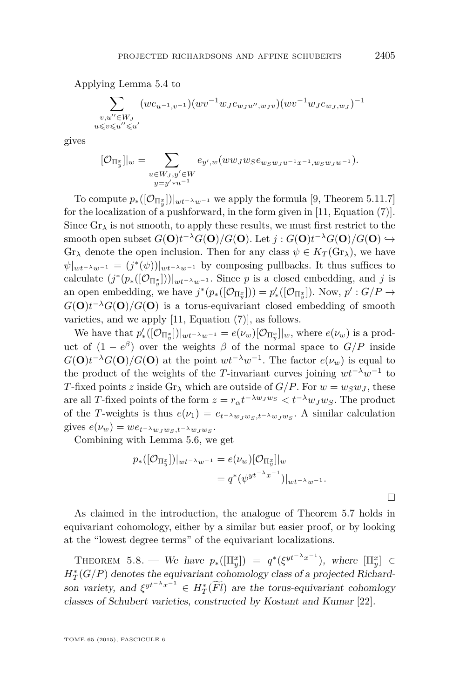Applying Lemma [5.4](#page-16-0) to

$$
\sum_{\substack{v,u''\in W_J\\ u\leqslant v\leqslant u''\leqslant u'}}(we_{u^{-1},v^{-1}})(wv^{-1}w_Je_{w_Ju'',w_Jv})(wv^{-1}w_Je_{w_J,w_J})^{-1}
$$

gives

$$
[\mathcal{O}_{\Pi_y^{x}}]|_w = \sum_{\substack{u \in W_J, y' \in W \\ y = y' * u^{-1}}} e_{y',w}(ww_Jw_S e_{w_S w_J u^{-1} x^{-1}, w_S w_J w^{-1}}).
$$

To compute  $p_*(\left[\mathcal{O}_{\Pi_y^x}\right])|_{wt^{-\lambda}w^{-1}}$  we apply the formula [\[9,](#page-26-0) Theorem 5.11.7] for the localization of a pushforward, in the form given in [\[11,](#page-26-0) Equation (7)]. Since  $Gr_{\lambda}$  is not smooth, to apply these results, we must first restrict to the smooth open subset  $G(\mathbf{O})t^{-\lambda}G(\mathbf{O})/G(\mathbf{O})$ . Let  $j: G(\mathbf{O})t^{-\lambda}G(\mathbf{O})/G(\mathbf{O}) \hookrightarrow$  $Gr_{\lambda}$  denote the open inclusion. Then for any class  $\psi \in K_T(\mathbb{G}r_{\lambda})$ , we have  $\psi|_{wt^{-\lambda}w^{-1}} = (j^*(\psi))|_{wt^{-\lambda}w^{-1}}$  by composing pullbacks. It thus suffices to calculate  $(j^*(p_*(\lceil \mathcal{O}_{\Pi_y^x}\rceil))|_{wt^{-\lambda}w^{-1}}$ . Since *p* is a closed embedding, and *j* is an open embedding, we have  $j^*(p_*([\mathcal{O}_{\Pi_y^x}])) = p'_*([\mathcal{O}_{\Pi_y^x}])$ . Now,  $p' : G/P \to$  $G(\mathbf{O})t^{-\lambda}G(\mathbf{O})/G(\mathbf{O})$  is a torus-equivariant closed embedding of smooth varieties, and we apply [\[11,](#page-26-0) Equation (7)], as follows.

We have that  $p'_{*}([\mathcal{O}_{\Pi_{y}^{x}}])|_{wt^{-\lambda}w^{-1}} = e(\nu_{w})[\mathcal{O}_{\Pi_{y}^{x}}]|_{w}$ , where  $e(\nu_{w})$  is a product of  $(1 - e^{\beta})$  over the weights  $\beta$  of the normal space to  $G/P$  inside  $G(\mathbf{O})t^{-\lambda}G(\mathbf{O})/G(\mathbf{O})$  at the point  $wt^{-\lambda}w^{-1}$ . The factor  $e(\nu_w)$  is equal to the product of the weights of the *T*-invariant curves joining  $wt^{-\lambda}w^{-1}$  to *T*-fixed points *z* inside  $\text{Gr}_{\lambda}$  which are outside of  $G/P$ . For  $w = w_Sw_J$ , these are all *T*-fixed points of the form  $z = r_{\alpha}t^{-\lambda w_J w_S} < t^{-\lambda}w_J w_S$ . The product of the *T*-weights is thus  $e(\nu_1) = e_{t-\lambda w_J w_S, t-\lambda w_J w_S}$ . A similar calculation gives  $e(\nu_w) = we_{t^{-\lambda}w_Jw_S,t^{-\lambda}w_Jw_S}$ .

Combining with Lemma [5.6,](#page-18-0) we get

$$
p_*([\mathcal{O}_{\Pi_y^x}])|_{wt^{-\lambda}w^{-1}} = e(\nu_w)[\mathcal{O}_{\Pi_y^x}]|_w
$$
  
=  $q^*(\psi^{yt^{-\lambda}x^{-1}})|_{wt^{-\lambda}w^{-1}}.$ 

As claimed in the introduction, the analogue of Theorem [5.7](#page-19-0) holds in equivariant cohomology, either by a similar but easier proof, or by looking at the "lowest degree terms" of the equivariant localizations.

THEOREM 5.8. — We have  $p_*(\Pi_y^x) = q^*(\xi^{yt^{-\lambda}x^{-1}})$ , where  $[\Pi_y^x] \in$  $H_T^*(G/P)$  denotes the equivariant cohomology class of a projected Richardson variety, and  $\xi^{yt^{-\lambda}x^{-1}} \in H^*_T(\widetilde{Fl})$  are the torus-equivariant cohomlogy classes of Schubert varieties, constructed by Kostant and Kumar [\[22\]](#page-27-0).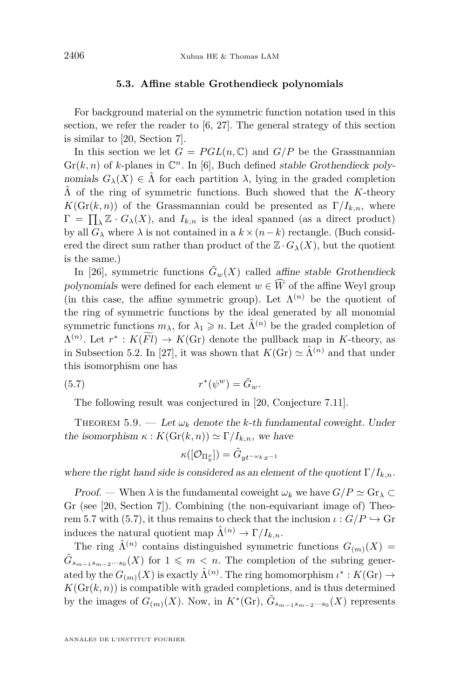#### **5.3. Affine stable Grothendieck polynomials**

<span id="page-22-0"></span>For background material on the symmetric function notation used in this section, we refer the reader to [\[6,](#page-26-0) [27\]](#page-27-0). The general strategy of this section is similar to [\[20,](#page-27-0) Section 7].

In this section we let  $G = PGL(n, \mathbb{C})$  and  $G/P$  be the Grassmannian  $\mathrm{Gr}(k, n)$  of *k*-planes in  $\mathbb{C}^n$ . In [\[6\]](#page-26-0), Buch defined stable Grothendieck polynomials  $G_{\lambda}(X) \in \hat{\Lambda}$  for each partition  $\lambda$ , lying in the graded completion  $\hat{\Lambda}$  of the ring of symmetric functions. Buch showed that the *K*-theory  $K(\text{Gr}(k, n))$  of the Grassmannian could be presented as  $\Gamma/I_{k,n}$ , where  $\Gamma = \prod_{\lambda} \mathbb{Z} \cdot G_{\lambda}(X)$ , and  $I_{k,n}$  is the ideal spanned (as a direct product) by all  $G_\lambda$  where  $\lambda$  is not contained in a  $k \times (n-k)$  rectangle. (Buch considered the direct sum rather than product of the  $\mathbb{Z} \cdot G_{\lambda}(X)$ , but the quotient is the same.)

In [\[26\]](#page-27-0), symmetric functions  $\tilde{G}_w(X)$  called affine stable Grothendieck polynomials were defined for each element  $w \in \widehat{W}$  of the affine Weyl group (in this case, the affine symmetric group). Let  $\Lambda^{(n)}$  be the quotient of the ring of symmetric functions by the ideal generated by all monomial symmetric functions  $m_{\lambda}$ , for  $\lambda_1 \geqslant n$ . Let  $\hat{\Lambda}^{(n)}$  be the graded completion of  $\Lambda^{(n)}$ . Let  $r^*$ :  $K(Fl) \to K(\text{Gr})$  denote the pullback map in *K*-theory, as in Subsection [5.2.](#page-18-0) In [\[27\]](#page-27-0), it was shown that  $K(\text{Gr}) \simeq \hat{\Lambda}^{(n)}$  and that under this isomorphism one has

(5.7) 
$$
r^*(\psi^w) = \tilde{G}_w.
$$

The following result was conjectured in [\[20,](#page-27-0) Conjecture 7.11].

THEOREM 5.9. — Let  $\omega_k$  denote the *k*-th fundamental coweight. Under the isomorphism  $\kappa$  :  $K(\text{Gr}(k, n)) \simeq \Gamma/I_{k,n}$ , we have

$$
\kappa([\mathcal{O}_{\Pi^x_y}])=\tilde{G}_{yt^{-\omega_k}x^{-1}}
$$

where the right hand side is considered as an element of the quotient  $\Gamma/I_{k,n}$ .

Proof. — When  $\lambda$  is the fundamental coweight  $\omega_k$  we have  $G/P \simeq \text{Gr}_{\lambda} \subset$ Gr (see [\[20,](#page-27-0) Section 7]). Combining (the non-equivariant image of) Theo-rem [5.7](#page-19-0) with (5.7), it thus remains to check that the inclusion  $\iota$  :  $G/P \hookrightarrow$  Gr induces the natural quotient map  $\hat{\Lambda}^{(n)} \to \Gamma/I_{k,n}$ .

The ring  $\hat{\Lambda}^{(n)}$  contains distinguished symmetric functions  $G_{(m)}(X) =$  $\tilde{G}_{s_{m-1}s_{m-2}\cdots s_0}(X)$  for  $1 \leqslant m < n$ . The completion of the subring generated by the  $G_{(m)}(X)$  is exactly  $\hat{\Lambda}^{(n)}$ . The ring homomorphism  $\iota^*: K(\mathrm{Gr}) \to$  $K(\mathrm{Gr}(k,n))$  is compatible with graded completions, and is thus determined by the images of  $G_{(m)}(X)$ . Now, in  $K^*(\text{Gr})$ ,  $\tilde{G}_{s_{m-1}s_{m-2}\cdots s_0}(X)$  represents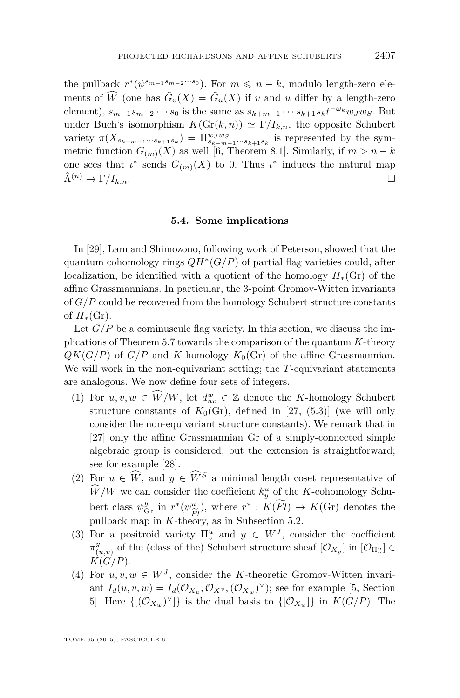<span id="page-23-0"></span>the pullback  $r^*(\psi^{s_{m-1}s_{m-2}\cdots s_0})$ . For  $m \leq n-k$ , modulo length-zero elements of  $\widehat{W}$  (one has  $\widetilde{G}_v(X) = \widetilde{G}_u(X)$  if *v* and *u* differ by a length-zero element),  $s_{m-1}s_{m-2}\cdots s_0$  is the same as  $s_{k+m-1}\cdots s_{k+1}s_kt^{-\omega_k}w_Jw_S$ . But under Buch's isomorphism  $K(\text{Gr}(k, n)) \simeq \Gamma/I_{k,n}$ , the opposite Schubert variety  $\pi(X_{s_{k+m-1}\cdots s_{k+1}s_k}) = \prod_{s_{k+m-1}\cdots s_{k+1}s_k}^{w_Jw_S}$  is represented by the symmetric function  $G_{(m)}(X)$  as well [\[6,](#page-26-0) Theorem 8.1]. Similarly, if  $m > n - k$ one sees that  $\iota^*$  sends  $G_{(m)}(X)$  to 0. Thus  $\iota^*$  induces the natural map  $\hat{\Lambda}^{(n)} \to \Gamma/I_{k,n}.$ 

#### **5.4. Some implications**

In [\[29\]](#page-27-0), Lam and Shimozono, following work of Peterson, showed that the quantum cohomology rings *QH*<sup>∗</sup> (*G/P*) of partial flag varieties could, after localization, be identified with a quotient of the homology  $H_*(\mathbb{G}_\Gamma)$  of the affine Grassmannians. In particular, the 3-point Gromov-Witten invariants of *G/P* could be recovered from the homology Schubert structure constants of  $H_*(\mathrm{Gr})$ .

Let  $G/P$  be a cominuscule flag variety. In this section, we discuss the implications of Theorem [5.7](#page-19-0) towards the comparison of the quantum *K*-theory  $QK(G/P)$  of  $G/P$  and *K*-homology  $K_0(\text{Gr})$  of the affine Grassmannian. We will work in the non-equivariant setting; the *T*-equivariant statements are analogous. We now define four sets of integers.

- (1) For  $u, v, w \in \widehat{W}/W$ , let  $d_{uv}^w \in \mathbb{Z}$  denote the *K*-homology Schubert structure constants of  $K_0(\text{Gr})$ , defined in [\[27,](#page-27-0) (5.3)] (we will only consider the non-equivariant structure constants). We remark that in [\[27\]](#page-27-0) only the affine Grassmannian Gr of a simply-connected simple algebraic group is considered, but the extension is straightforward; see for example [\[28\]](#page-27-0).
- (2) For  $u \in \widehat{W}$ , and  $y \in \widehat{W}^S$  a minimal length coset representative of  $\hat{W}/W$  we can consider the coefficient  $k_y^u$  of the *K*-cohomology Schubert class  $\psi_{\text{Gr}}^y$  in  $r^*(\psi_{\tilde{F}l}^u)$ , where  $r^*: K(\tilde{F}l) \to K(\text{Gr})$  denotes the pullback map in *K*-theory, as in Subsection [5.2.](#page-18-0)
- (3) For a positroid variety  $\Pi_v^u$  and  $y \in W^J$ , consider the coefficient *π y*  $\mathcal{V}(u,v)$  of the (class of the) Schubert structure sheaf  $[\mathcal{O}_{X_y}]$  in  $[\mathcal{O}_{\Pi_v^u}] \in$  $K(G/P)$ .
- (4) For  $u, v, w \in W^J$ , consider the *K*-theoretic Gromov-Witten invariant  $I_d(u, v, w) = I_d(\mathcal{O}_{X_u}, \mathcal{O}_{X^v}, (\mathcal{O}_{X_w})^{\vee})$ ; see for example [\[5,](#page-26-0) Section 5. Here  $\{[(\mathcal{O}_{X_w})^{\vee}]\}$  is the dual basis to  $\{[\mathcal{O}_{X_w}]\}$  in  $K(G/P)$ . The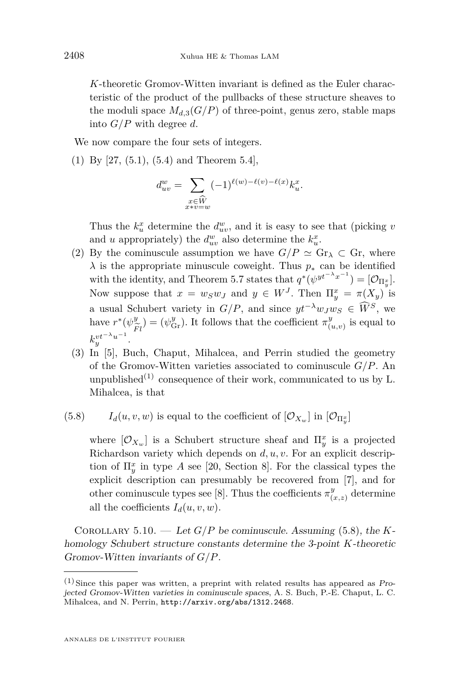*K*-theoretic Gromov-Witten invariant is defined as the Euler characteristic of the product of the pullbacks of these structure sheaves to the moduli space  $M_{d,3}(G/P)$  of three-point, genus zero, stable maps into *G/P* with degree *d*.

We now compare the four sets of integers.

(1) By [\[27,](#page-27-0) (5.1), (5.4) and Theorem 5.4],

$$
d_{uv}^w = \sum_{\substack{x \in \widehat{W} \\ x * v = w}} (-1)^{\ell(w) - \ell(v) - \ell(x)} k_u^x.
$$

Thus the  $k_u^x$  determine the  $d_{uv}^w$ , and it is easy to see that (picking *v* and *u* appropriately) the  $d_{uv}^w$  also determine the  $k_u^x$ .

- (2) By the cominuscule assumption we have  $G/P \simeq \text{Gr}_{\lambda} \subset \text{Gr}$ , where  $\lambda$  is the appropriate minuscule coweight. Thus  $p_*$  can be identified with the identity, and Theorem [5.7](#page-19-0) states that  $q^*(\psi^{yt^{-\lambda}x^{-1}}) = [\mathcal{O}_{\Pi_y^x}]$ . Now suppose that  $x = w_S w_J$  and  $y \in W^J$ . Then  $\Pi_y^x = \pi(X_y)$  is a usual Schubert variety in  $G/P$ , and since  $yt^{-\lambda}w_Jw_S \in \widehat{W}^S$ , we have  $r^*(\psi^y_{\tilde{r}})$ *F l*  $(\psi_{\text{Gr}}^y)$ . It follows that the coefficient  $\pi_{\text{Gr}}^y$  $\binom{y}{(u,v)}$  is equal to  $k_y^{vt^{-\lambda}u^{-1}}.$
- (3) In [\[5\]](#page-26-0), Buch, Chaput, Mihalcea, and Perrin studied the geometry of the Gromov-Witten varieties associated to cominuscule *G/P*. An unpublished<sup>(1)</sup> consequence of their work, communicated to us by L. Mihalcea, is that
- (5.8) *I<sub>d</sub>*(*u, v, w*) is equal to the coefficient of  $[O_{X_w}]$  in  $[O_{\Pi^x_y}]$

where  $[O_{X_w}]$  is a Schubert structure sheaf and  $\Pi_y^x$  is a projected Richardson variety which depends on *d, u, v*. For an explicit description of  $\Pi_y^x$  in type *A* see [\[20,](#page-27-0) Section 8]. For the classical types the explicit description can presumably be recovered from [\[7\]](#page-26-0), and for other cominuscule types see [\[8\]](#page-26-0). Thus the coefficients  $\pi^y_{\ell}$  $\binom{y}{(x,z)}$  determine all the coefficients  $I_d(u, v, w)$ .

COROLLARY 5.10. — Let  $G/P$  be cominuscule. Assuming (5.8), the *K*homology Schubert structure constants determine the 3-point *K*-theoretic Gromov-Witten invariants of *G/P*.

 $(1)$  Since this paper was written, a preprint with related results has appeared as Projected Gromov-Witten varieties in cominuscule spaces, A. S. Buch, P.-E. Chaput, L. C. Mihalcea, and N. Perrin, <http://arxiv.org/abs/1312.2468>.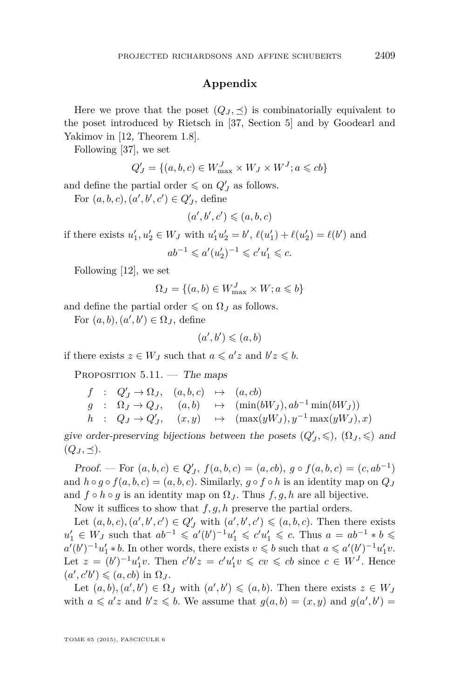#### **Appendix**

Here we prove that the poset  $(Q_J, \preceq)$  is combinatorially equivalent to the poset introduced by Rietsch in [\[37,](#page-28-0) Section 5] and by Goodearl and Yakimov in [\[12,](#page-27-0) Theorem 1.8].

Following [\[37\]](#page-28-0), we set

$$
Q'_J = \{(a, b, c) \in W^J_{\text{max}} \times W_J \times W^J; a \leqslant cb\}
$$

and define the partial order  $\leq$  on  $Q'_{J}$  as follows.

For  $(a, b, c), (a', b', c') \in Q'_J$ , define

$$
(a',b',c') \leqslant (a,b,c)
$$

if there exists  $u'_1, u'_2 \in W_J$  with  $u'_1u'_2 = b'$ ,  $\ell(u'_1) + \ell(u'_2) = \ell(b')$  and  $ab^{-1} \leq a'(u'_2)^{-1} \leqslant c'u'_1 \leqslant c.$ 

Following [\[12\]](#page-27-0), we set

$$
\Omega_J = \{(a, b) \in W_{\text{max}}^J \times W; a \leqslant b\}
$$

and define the partial order  $\leq$  on  $\Omega_J$  as follows.

For  $(a, b), (a', b') \in \Omega_J$ , define

$$
(a',b')\leqslant (a,b)
$$

if there exists  $z \in W_J$  such that  $a \leqslant a'z$  and  $b'z \leqslant b$ .

PROPOSITION  $5.11.$  – The maps

$$
f : Q'_J \to \Omega_J, \quad (a, b, c) \mapsto (a, cb)
$$
  
\n
$$
g : \Omega_J \to Q_J, \quad (a, b) \mapsto (\min(bW_J), ab^{-1} \min(bW_J))
$$
  
\n
$$
h : Q_J \to Q'_J, \quad (x, y) \mapsto (\max(yW_J), y^{-1} \max(yW_J), x)
$$

give order-preserving bijections between the posets  $(Q'_J, \leqslant)$ ,  $(\Omega_J, \leqslant)$  and  $(Q_J, \preceq).$ 

Proof. — For  $(a, b, c) \in Q'_J$ ,  $f(a, b, c) = (a, cb)$ ,  $g \circ f(a, b, c) = (c, ab^{-1})$ and  $h \circ g \circ f(a, b, c) = (a, b, c)$ . Similarly,  $g \circ f \circ h$  is an identity map on  $Q_J$ and  $f \circ h \circ g$  is an identity map on  $\Omega_J$ . Thus  $f, g, h$  are all bijective.

Now it suffices to show that *f, g, h* preserve the partial orders.

Let  $(a, b, c), (a', b', c') \in Q'_J$  with  $(a', b', c') \leq (a, b, c)$ . Then there exists *u*1  $u'_1$  ∈ *W*<sub>*J*</sub> such that  $ab^{-1}$  ≤  $a'(b')^{-1}u'_1$  ≤  $c'u'_1$  ≤  $c$ . Thus  $a = ab^{-1} * b$  ≤  $a'(b')^{-1}u'_1 * b$ . In other words, there exists  $v \leq b$  such that  $a \leq a'(b')^{-1}u'_1v$ . Let  $z = (b')^{-1}u'_1v$ . Then  $c'b'z = c'u'_1v \leqslant cv \leqslant cb$  since  $c \in W<sup>J</sup>$ . Hence  $(a', c'b') \leqslant (a, cb)$  in  $\Omega_J$ .

Let  $(a, b), (a', b') \in \Omega_J$  with  $(a', b') \leq (a, b)$ . Then there exists  $z \in W_J$ with  $a \leq a'z$  and  $b'z \leq b$ . We assume that  $g(a, b) = (x, y)$  and  $g(a', b') = b'z$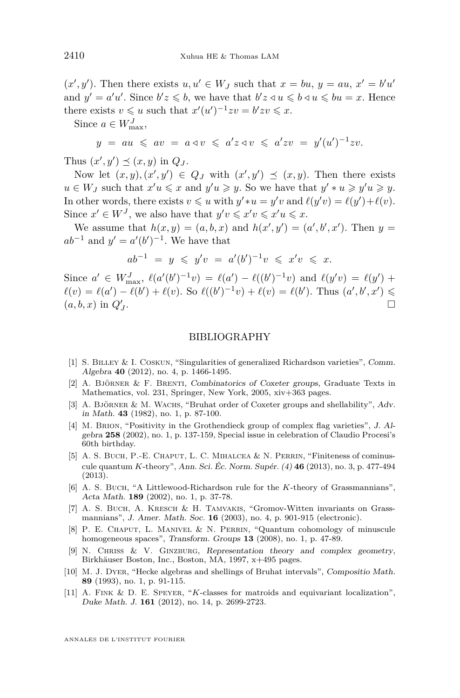$(x', y')$ . Then there exists  $u, u' \in W_J$  such that  $x = bu, y = au, x' = bu'$ and  $y' = a'u'$ . Since  $b'z \leq b$ , we have that  $b'z \leq u \leq b \leq u \leq bu = x$ . Hence there exists  $v \leq u$  such that  $x'(u')^{-1}zv = b'zv \leq x$ .

Since  $a \in W_{\text{max}}^J$ ,

$$
y = au \leqslant av = a \triangleleft v \leqslant a'z \triangleleft v \leqslant a'zv = y'(u')^{-1}zv.
$$

Thus  $(x', y') \preceq (x, y)$  in  $Q_J$ .

Now let  $(x, y), (x', y') \in Q_J$  with  $(x', y') \preceq (x, y)$ . Then there exists  $u \in W_J$  such that  $x'u \leq x$  and  $y'u \geq y$ . So we have that  $y' * u \geq y'u \geq y$ . In other words, there exists  $v \leq u$  with  $y' * u = y'v$  and  $\ell(y'v) = \ell(y') + \ell(v)$ . Since  $x' \in W^J$ , we also have that  $y'v \leq x'v \leq x'u \leq x$ .

We assume that  $h(x, y) = (a, b, x)$  and  $h(x', y') = (a', b', x')$ . Then  $y =$  $ab^{-1}$  and  $y' = a'(b')^{-1}$ . We have that

$$
ab^{-1} = y \leq y'v = a'(b')^{-1}v \leq x'v \leq x.
$$

Since  $a' \in W_{\max}^J$ ,  $\ell(a'(b')^{-1}v) = \ell(a') - \ell((b')^{-1}v)$  and  $\ell(y'v) = \ell(y') +$  $\ell(v) = \ell(a') - \ell(b') + \ell(v)$ . So  $\ell((b')^{-1}v) + \ell(v) = \ell(b')$ . Thus  $(a', b', x') \leq$  $(a, b, x)$  in  $Q'_{J}$ .

#### BIBLIOGRAPHY

- [1] S. Billey & I. Coskun, "Singularities of generalized Richardson varieties", Comm. Algebra **40** (2012), no. 4, p. 1466-1495.
- [2] A. Björner & F. Brenti, Combinatorics of Coxeter groups, Graduate Texts in Mathematics, vol. 231, Springer, New York, 2005, xiv+363 pages.
- [3] A. BJÖRNER & M. WACHS, "Bruhat order of Coxeter groups and shellability", Adv. in Math. **43** (1982), no. 1, p. 87-100.
- [4] M. Brion, "Positivity in the Grothendieck group of complex flag varieties", J. Algebra **258** (2002), no. 1, p. 137-159, Special issue in celebration of Claudio Procesi's 60th birthday.
- [5] A. S. BUCH, P.-E. CHAPUT, L. C. MIHALCEA & N. PERRIN, "Finiteness of cominuscule quantum *K*-theory", Ann. Sci. Éc. Norm. Supér. (4) **46** (2013), no. 3, p. 477-494 (2013).
- [6] A. S. Buch, "A Littlewood-Richardson rule for the *K*-theory of Grassmannians", Acta Math. **189** (2002), no. 1, p. 37-78.
- [7] A. S. Buch, A. Kresch & H. Tamvakis, "Gromov-Witten invariants on Grassmannians", J. Amer. Math. Soc. **16** (2003), no. 4, p. 901-915 (electronic).
- [8] P. E. Chaput, L. Manivel & N. Perrin, "Quantum cohomology of minuscule homogeneous spaces", Transform. Groups **13** (2008), no. 1, p. 47-89.
- [9] N. Chriss & V. Ginzburg, Representation theory and complex geometry, Birkhäuser Boston, Inc., Boston, MA, 1997, x+495 pages.
- [10] M. J. Dyer, "Hecke algebras and shellings of Bruhat intervals", Compositio Math. **89** (1993), no. 1, p. 91-115.
- [11] A. Fink & D. E. Speyer, "*K*-classes for matroids and equivariant localization", Duke Math. J. **161** (2012), no. 14, p. 2699-2723.

<span id="page-26-0"></span>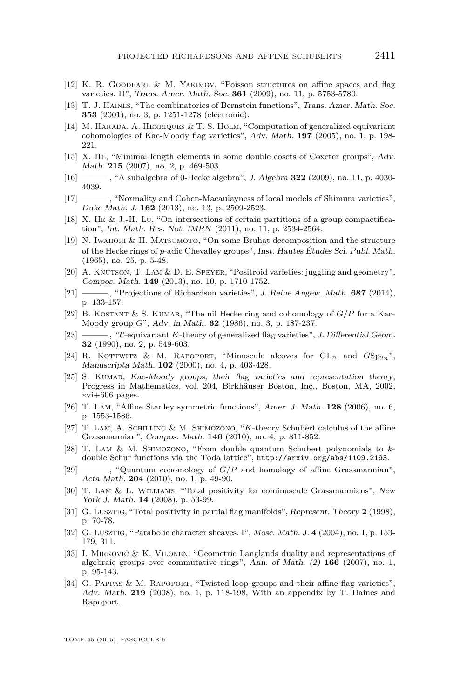- <span id="page-27-0"></span>[12] K. R. Goodearl & M. Yakimov, "Poisson structures on affine spaces and flag varieties. II", Trans. Amer. Math. Soc. **361** (2009), no. 11, p. 5753-5780.
- [13] T. J. Haines, "The combinatorics of Bernstein functions", Trans. Amer. Math. Soc. **353** (2001), no. 3, p. 1251-1278 (electronic).
- [14] M. Harada, A. Henriques & T. S. Holm, "Computation of generalized equivariant cohomologies of Kac-Moody flag varieties", Adv. Math. **197** (2005), no. 1, p. 198- 221.
- [15] X. He, "Minimal length elements in some double cosets of Coxeter groups", Adv. Math. **215** (2007), no. 2, p. 469-503.
- [16] ——— , "A subalgebra of 0-Hecke algebra", J. Algebra **322** (2009), no. 11, p. 4030- 4039.
- [17] ——— , "Normality and Cohen-Macaulayness of local models of Shimura varieties", Duke Math. J. **162** (2013), no. 13, p. 2509-2523.
- [18] X. He & J.-H. Lu, "On intersections of certain partitions of a group compactification", Int. Math. Res. Not. IMRN (2011), no. 11, p. 2534-2564.
- [19] N. IWAHORI  $\&$  H. MATSUMOTO, "On some Bruhat decomposition and the structure of the Hecke rings of *p*-adic Chevalley groups", Inst. Hautes Études Sci. Publ. Math. (1965), no. 25, p. 5-48.
- [20] A. KNUTSON, T. LAM & D. E. SPEYER, "Positroid varieties: juggling and geometry", Compos. Math. **149** (2013), no. 10, p. 1710-1752.
- [21] ——— , "Projections of Richardson varieties", J. Reine Angew. Math. **687** (2014), p. 133-157.
- [22] B. Kostant & S. Kumar, "The nil Hecke ring and cohomology of *G/P* for a Kac-Moody group *G*", Adv. in Math. **62** (1986), no. 3, p. 187-237.
- [23] ——— , "*T*-equivariant *K*-theory of generalized flag varieties", J. Differential Geom. **32** (1990), no. 2, p. 549-603.
- [24] R. KOTTWITZ & M. RAPOPORT, "Minuscule alcoves for  $GL_n$  and  $GSp_{2n}$ ", Manuscripta Math. **102** (2000), no. 4, p. 403-428.
- [25] S. KUMAR, Kac-Moody groups, their flag varieties and representation theory, Progress in Mathematics, vol. 204, Birkhäuser Boston, Inc., Boston, MA, 2002, xvi+606 pages.
- [26] T. Lam, "Affine Stanley symmetric functions", Amer. J. Math. **128** (2006), no. 6, p. 1553-1586.
- [27] T. Lam, A. Schilling & M. Shimozono, "*K*-theory Schubert calculus of the affine Grassmannian", Compos. Math. **146** (2010), no. 4, p. 811-852.
- [28] T. Lam & M. Shimozono, "From double quantum Schubert polynomials to *k*double Schur functions via the Toda lattice", <http://arxiv.org/abs/1109.2193>.
- [29] ——— , "Quantum cohomology of *G/P* and homology of affine Grassmannian", Acta Math. **204** (2010), no. 1, p. 49-90.
- [30] T. Lam & L. Williams, "Total positivity for cominuscule Grassmannians", New York J. Math. **14** (2008), p. 53-99.
- [31] G. Lusztig, "Total positivity in partial flag manifolds", Represent. Theory **2** (1998), p. 70-78.
- [32] G. Lusztig, "Parabolic character sheaves. I", Mosc. Math. J. **4** (2004), no. 1, p. 153- 179, 311.
- [33] I. Mirković & K. Vilonen, "Geometric Langlands duality and representations of algebraic groups over commutative rings", Ann. of Math. (2) **166** (2007), no. 1, p. 95-143.
- [34] G. Pappas & M. Rapoport, "Twisted loop groups and their affine flag varieties", Adv. Math. **219** (2008), no. 1, p. 118-198, With an appendix by T. Haines and Rapoport.